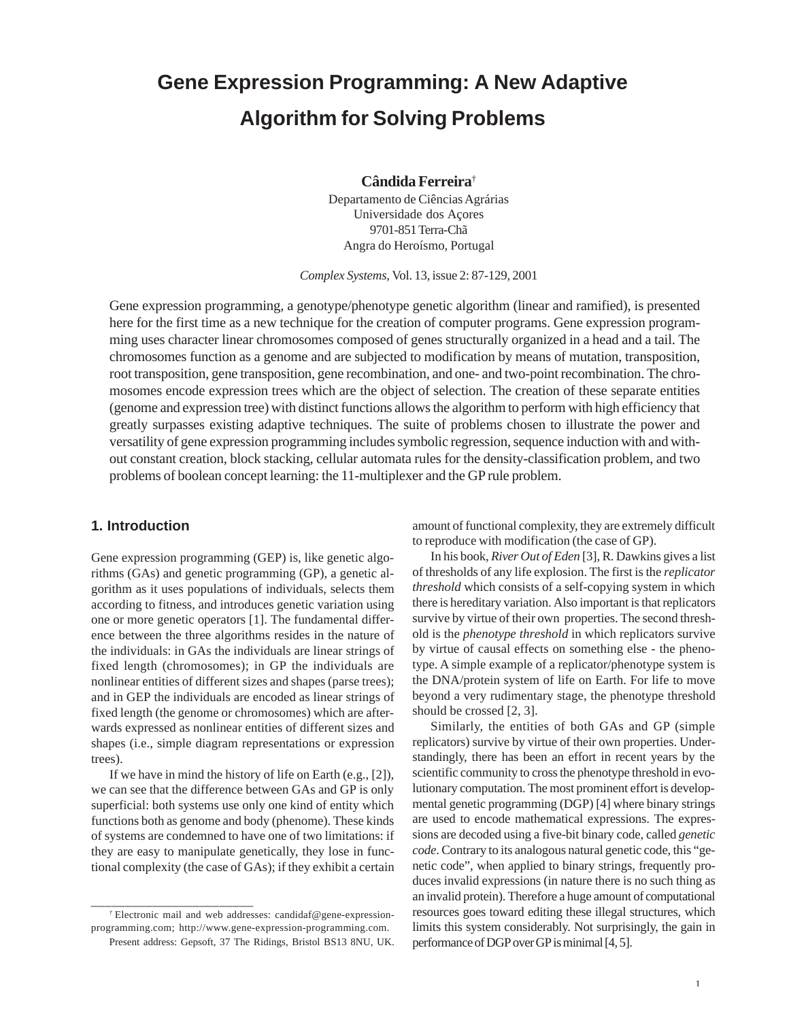# **Gene Expression Programming: A New Adaptive Algorithm for Solving Problems**

**Cândida Ferreira**†

Departamento de Ciências Agrárias Universidade dos Açores 9701-851 Terra-Chã Angra do Heroísmo, Portugal

*Complex Systems,* Vol. 13, issue 2: 87-129, 2001

Gene expression programming, a genotype/phenotype genetic algorithm (linear and ramified), is presented here for the first time as a new technique for the creation of computer programs. Gene expression programming uses character linear chromosomes composed of genes structurally organized in a head and a tail. The chromosomes function as a genome and are subjected to modification by means of mutation, transposition, root transposition, gene transposition, gene recombination, and one- and two-point recombination. The chromosomes encode expression trees which are the object of selection. The creation of these separate entities (genome and expression tree) with distinct functions allows the algorithm to perform with high efficiency that greatly surpasses existing adaptive techniques. The suite of problems chosen to illustrate the power and versatility of gene expression programming includes symbolic regression, sequence induction with and without constant creation, block stacking, cellular automata rules for the density-classification problem, and two problems of boolean concept learning: the 11-multiplexer and the GP rule problem.

# **1. Introduction**

Gene expression programming (GEP) is, like genetic algorithms (GAs) and genetic programming (GP), a genetic algorithm as it uses populations of individuals, selects them according to fitness, and introduces genetic variation using one or more genetic operators [1]. The fundamental difference between the three algorithms resides in the nature of the individuals: in GAs the individuals are linear strings of fixed length (chromosomes); in GP the individuals are nonlinear entities of different sizes and shapes (parse trees); and in GEP the individuals are encoded as linear strings of fixed length (the genome or chromosomes) which are afterwards expressed as nonlinear entities of different sizes and shapes (i.e., simple diagram representations or expression trees).

If we have in mind the history of life on Earth (e.g., [2]), we can see that the difference between GAs and GP is only superficial: both systems use only one kind of entity which functions both as genome and body (phenome). These kinds of systems are condemned to have one of two limitations: if they are easy to manipulate genetically, they lose in functional complexity (the case of GAs); if they exhibit a certain

\_\_\_\_\_\_\_\_\_\_\_\_\_\_\_\_\_\_\_\_\_\_\_\_

amount of functional complexity, they are extremely difficult to reproduce with modification (the case of GP).

In his book, *River Out of Eden* [3], R. Dawkins gives a list of thresholds of any life explosion. The first is the *replicator threshold* which consists of a self-copying system in which there is hereditary variation. Also important is that replicators survive by virtue of their own properties. The second threshold is the *phenotype threshold* in which replicators survive by virtue of causal effects on something else - the phenotype. A simple example of a replicator/phenotype system is the DNA/protein system of life on Earth. For life to move beyond a very rudimentary stage, the phenotype threshold should be crossed [2, 3].

Similarly, the entities of both GAs and GP (simple replicators) survive by virtue of their own properties. Understandingly, there has been an effort in recent years by the scientific community to cross the phenotype threshold in evolutionary computation. The most prominent effort is developmental genetic programming (DGP) [4] where binary strings are used to encode mathematical expressions. The expressions are decoded using a five-bit binary code, called *genetic code*. Contrary to its analogous natural genetic code, this "genetic code", when applied to binary strings, frequently produces invalid expressions (in nature there is no such thing as an invalid protein). Therefore a huge amount of computational resources goes toward editing these illegal structures, which limits this system considerably. Not surprisingly, the gain in performance of DGP over GP is minimal [4, 5].

*<sup>†</sup>* Electronic mail and web addresses: candidaf@gene-expressionprogramming.com; http://www.gene-expression-programming.com. Present address: Gepsoft, 37 The Ridings, Bristol BS13 8NU, UK.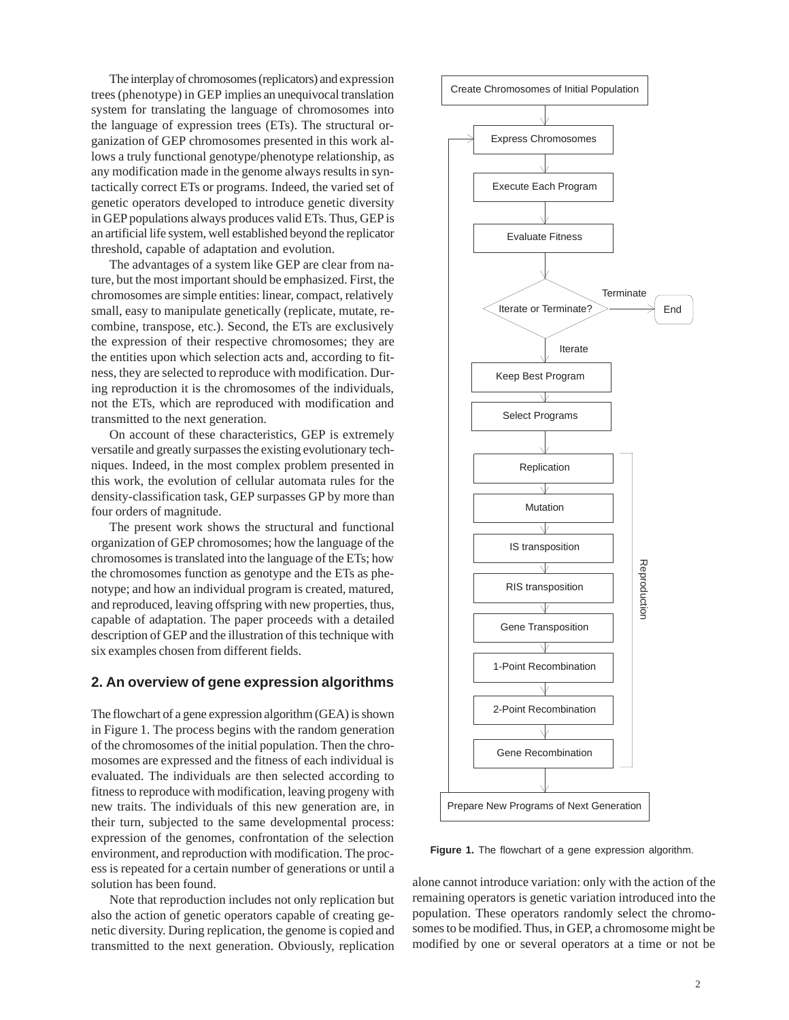The interplay of chromosomes (replicators) and expression trees (phenotype) in GEP implies an unequivocal translation system for translating the language of chromosomes into the language of expression trees (ETs). The structural organization of GEP chromosomes presented in this work allows a truly functional genotype/phenotype relationship, as any modification made in the genome always results in syntactically correct ETs or programs. Indeed, the varied set of genetic operators developed to introduce genetic diversity in GEP populations always produces valid ETs. Thus, GEP is an artificial life system, well established beyond the replicator threshold, capable of adaptation and evolution.

The advantages of a system like GEP are clear from nature, but the most important should be emphasized. First, the chromosomes are simple entities: linear, compact, relatively small, easy to manipulate genetically (replicate, mutate, recombine, transpose, etc.). Second, the ETs are exclusively the expression of their respective chromosomes; they are the entities upon which selection acts and, according to fitness, they are selected to reproduce with modification. During reproduction it is the chromosomes of the individuals, not the ETs, which are reproduced with modification and transmitted to the next generation.

On account of these characteristics, GEP is extremely versatile and greatly surpasses the existing evolutionary techniques. Indeed, in the most complex problem presented in this work, the evolution of cellular automata rules for the density-classification task, GEP surpasses GP by more than four orders of magnitude.

The present work shows the structural and functional organization of GEP chromosomes; how the language of the chromosomes is translated into the language of the ETs; how the chromosomes function as genotype and the ETs as phenotype; and how an individual program is created, matured, and reproduced, leaving offspring with new properties, thus, capable of adaptation. The paper proceeds with a detailed description of GEP and the illustration of this technique with six examples chosen from different fields.

## **2. An overview of gene expression algorithms**

The flowchart of a gene expression algorithm (GEA) is shown in Figure 1. The process begins with the random generation of the chromosomes of the initial population. Then the chromosomes are expressed and the fitness of each individual is evaluated. The individuals are then selected according to fitness to reproduce with modification, leaving progeny with new traits. The individuals of this new generation are, in their turn, subjected to the same developmental process: expression of the genomes, confrontation of the selection environment, and reproduction with modification. The process is repeated for a certain number of generations or until a solution has been found.

Note that reproduction includes not only replication but also the action of genetic operators capable of creating genetic diversity. During replication, the genome is copied and transmitted to the next generation. Obviously, replication



**Figure 1.** The flowchart of a gene expression algorithm.

alone cannot introduce variation: only with the action of the remaining operators is genetic variation introduced into the population. These operators randomly select the chromosomes to be modified. Thus, in GEP, a chromosome might be modified by one or several operators at a time or not be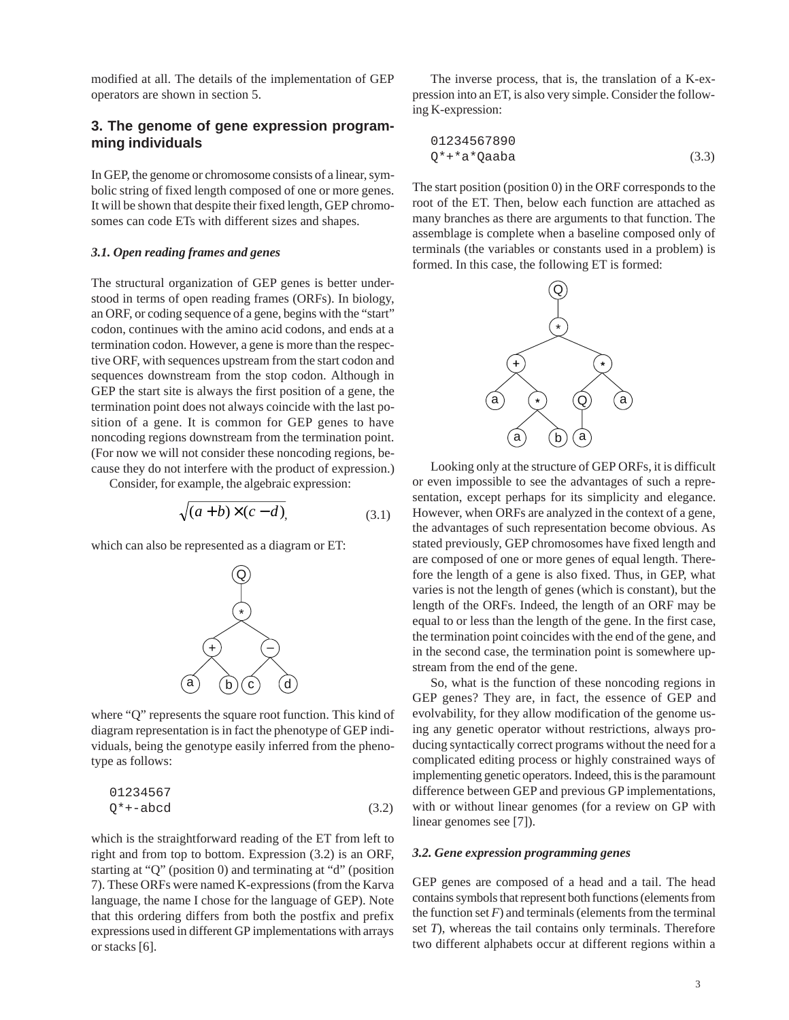modified at all. The details of the implementation of GEP operators are shown in section 5.

# **3. The genome of gene expression programming individuals**

In GEP, the genome or chromosome consists of a linear, symbolic string of fixed length composed of one or more genes. It will be shown that despite their fixed length, GEP chromosomes can code ETs with different sizes and shapes.

## *3.1. Open reading frames and genes*

The structural organization of GEP genes is better understood in terms of open reading frames (ORFs). In biology, an ORF, or coding sequence of a gene, begins with the "start" codon, continues with the amino acid codons, and ends at a termination codon. However, a gene is more than the respective ORF, with sequences upstream from the start codon and sequences downstream from the stop codon. Although in GEP the start site is always the first position of a gene, the termination point does not always coincide with the last position of a gene. It is common for GEP genes to have noncoding regions downstream from the termination point. (For now we will not consider these noncoding regions, because they do not interfere with the product of expression.)

Consider, for example, the algebraic expression:

$$
\sqrt{(a+b)\times (c-d)},\tag{3.1}
$$

which can also be represented as a diagram or ET:



where "Q" represents the square root function. This kind of diagram representation is in fact the phenotype of GEP individuals, being the genotype easily inferred from the phenotype as follows:

$$
01234567
$$
  
Q<sup>\*</sup> + -abcd (3.2)

which is the straightforward reading of the ET from left to right and from top to bottom. Expression (3.2) is an ORF, starting at "Q" (position 0) and terminating at "d" (position 7). These ORFs were named K-expressions (from the Karva language, the name I chose for the language of GEP). Note that this ordering differs from both the postfix and prefix expressions used in different GP implementations with arrays or stacks [6].

The inverse process, that is, the translation of a K-expression into an ET, is also very simple. Consider the following K-expression:

$$
01234567890
$$
  
Q\*+\*a\*Qaab

The start position (position 0) in the ORF corresponds to the root of the ET. Then, below each function are attached as many branches as there are arguments to that function. The assemblage is complete when a baseline composed only of terminals (the variables or constants used in a problem) is formed. In this case, the following ET is formed:



Looking only at the structure of GEP ORFs, it is difficult or even impossible to see the advantages of such a representation, except perhaps for its simplicity and elegance. However, when ORFs are analyzed in the context of a gene, the advantages of such representation become obvious. As stated previously, GEP chromosomes have fixed length and are composed of one or more genes of equal length. Therefore the length of a gene is also fixed. Thus, in GEP, what varies is not the length of genes (which is constant), but the length of the ORFs. Indeed, the length of an ORF may be equal to or less than the length of the gene. In the first case, the termination point coincides with the end of the gene, and in the second case, the termination point is somewhere upstream from the end of the gene.

So, what is the function of these noncoding regions in GEP genes? They are, in fact, the essence of GEP and evolvability, for they allow modification of the genome using any genetic operator without restrictions, always producing syntactically correct programs without the need for a complicated editing process or highly constrained ways of implementing genetic operators. Indeed, this is the paramount difference between GEP and previous GP implementations, with or without linear genomes (for a review on GP with linear genomes see [7]).

#### *3.2. Gene expression programming genes*

GEP genes are composed of a head and a tail. The head contains symbols that represent both functions (elements from the function set  $F$ ) and terminals (elements from the terminal set *T*), whereas the tail contains only terminals. Therefore two different alphabets occur at different regions within a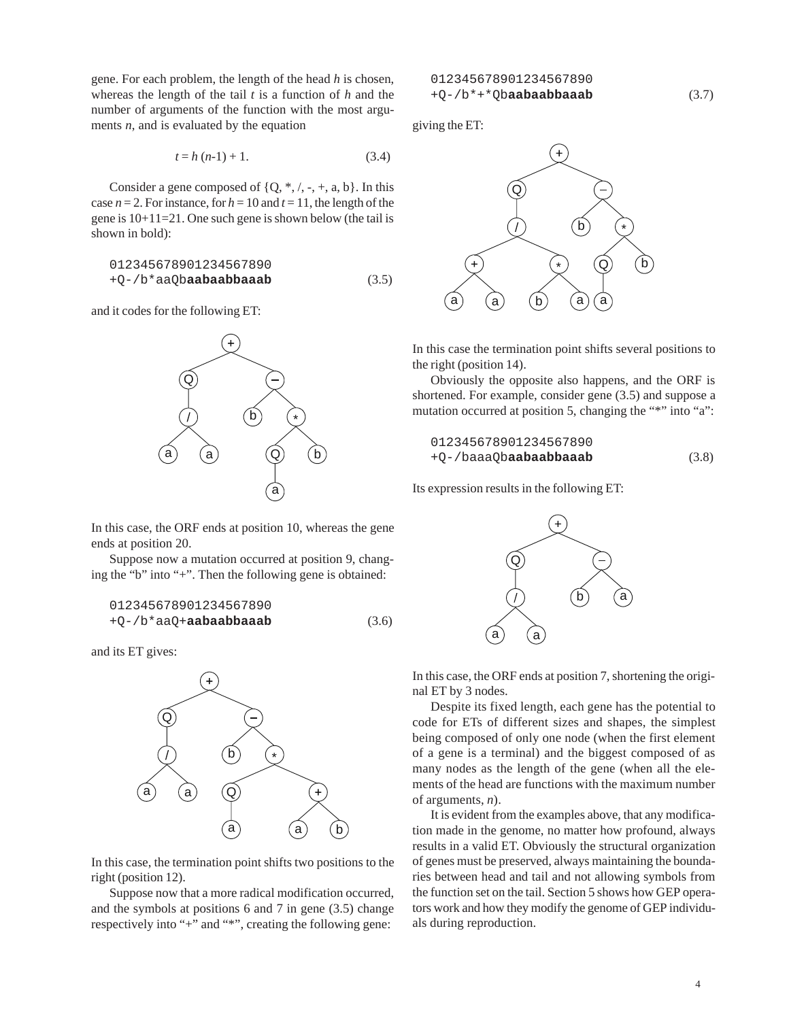gene. For each problem, the length of the head *h* is chosen, whereas the length of the tail *t* is a function of *h* and the number of arguments of the function with the most arguments *n*, and is evaluated by the equation

$$
t = h (n-1) + 1.
$$
 (3.4)

Consider a gene composed of  $\{Q, *, /, -, +, a, b\}$ . In this case  $n = 2$ . For instance, for  $h = 10$  and  $t = 11$ , the length of the gene is 10+11=21. One such gene is shown below (the tail is shown in bold):

$$
012345678901234567890
$$
  
+Q-/b\*aaQb**aabaabbaaab** (3.5)

and it codes for the following ET:



In this case, the ORF ends at position 10, whereas the gene ends at position 20.

Suppose now a mutation occurred at position 9, changing the "b" into "+". Then the following gene is obtained:

$$
012345678901234567890
$$
  
+Q-/b\*aaQ+**aabaabbaaab** (3.6)

and its ET gives:



In this case, the termination point shifts two positions to the right (position 12).

Suppose now that a more radical modification occurred, and the symbols at positions 6 and 7 in gene (3.5) change respectively into "+" and "\*", creating the following gene:

giving the ET:



In this case the termination point shifts several positions to the right (position 14).

Obviously the opposite also happens, and the ORF is shortened. For example, consider gene (3.5) and suppose a mutation occurred at position 5, changing the "\*" into "a":

$$
012345678901234567890
$$
  
+Q-/baaaQb**aabaabbaaab** (3.8)

Its expression results in the following ET:



In this case, the ORF ends at position 7, shortening the original ET by 3 nodes.

Despite its fixed length, each gene has the potential to code for ETs of different sizes and shapes, the simplest being composed of only one node (when the first element of a gene is a terminal) and the biggest composed of as many nodes as the length of the gene (when all the elements of the head are functions with the maximum number of arguments, *n*).

It is evident from the examples above, that any modification made in the genome, no matter how profound, always results in a valid ET. Obviously the structural organization of genes must be preserved, always maintaining the boundaries between head and tail and not allowing symbols from the function set on the tail. Section 5 shows how GEP operators work and how they modify the genome of GEP individuals during reproduction.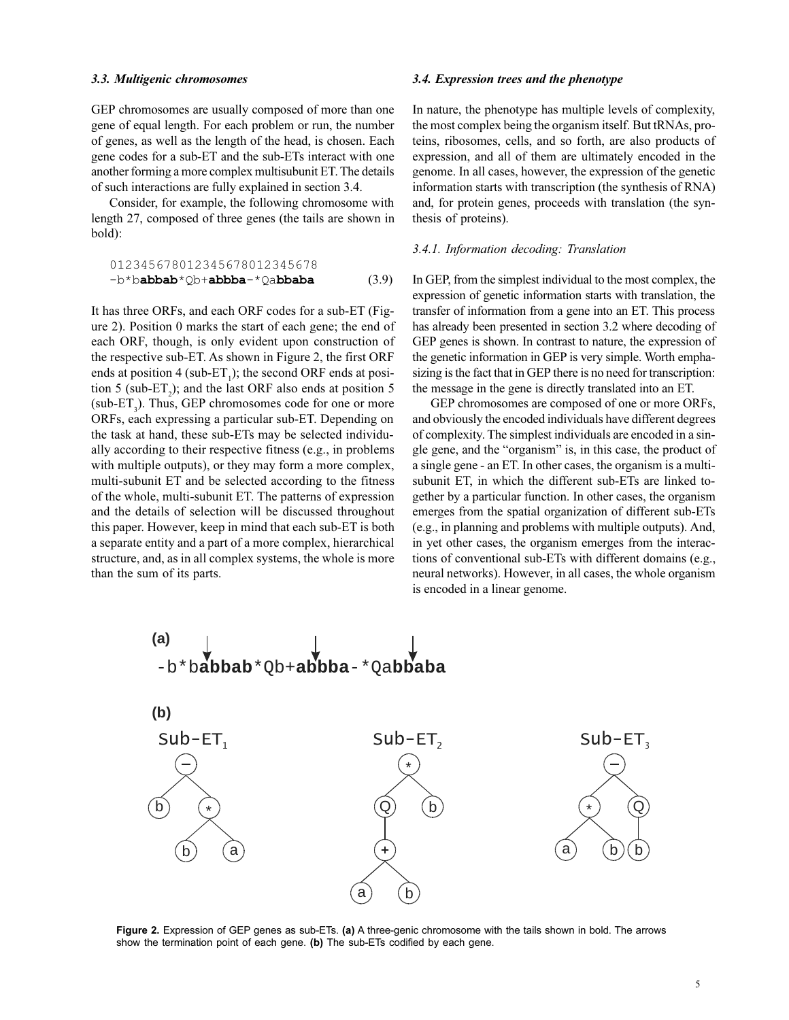#### *3.3. Multigenic chromosomes*

GEP chromosomes are usually composed of more than one gene of equal length. For each problem or run, the number of genes, as well as the length of the head, is chosen. Each gene codes for a sub-ET and the sub-ETs interact with one another forming a more complex multisubunit ET. The details of such interactions are fully explained in section 3.4.

Consider, for example, the following chromosome with length 27, composed of three genes (the tails are shown in bold):

$$
012345678012345678012345678
$$
  
-b\*ba**bbab**\*Qb+a**bbba**-\*Qa**bbaba** (3.9)

It has three ORFs, and each ORF codes for a sub-ET (Figure 2). Position 0 marks the start of each gene; the end of each ORF, though, is only evident upon construction of the respective sub-ET. As shown in Figure 2, the first ORF ends at position 4 (sub-ET<sub>1</sub>); the second ORF ends at position 5 (sub- $ET_2$ ); and the last ORF also ends at position 5 (sub- $ET_3$ ). Thus, GEP chromosomes code for one or more ORFs, each expressing a particular sub-ET. Depending on the task at hand, these sub-ETs may be selected individually according to their respective fitness (e.g., in problems with multiple outputs), or they may form a more complex, multi-subunit ET and be selected according to the fitness of the whole, multi-subunit ET. The patterns of expression and the details of selection will be discussed throughout this paper. However, keep in mind that each sub-ET is both a separate entity and a part of a more complex, hierarchical structure, and, as in all complex systems, the whole is more than the sum of its parts.

#### *3.4. Expression trees and the phenotype*

In nature, the phenotype has multiple levels of complexity, the most complex being the organism itself. But tRNAs, proteins, ribosomes, cells, and so forth, are also products of expression, and all of them are ultimately encoded in the genome. In all cases, however, the expression of the genetic information starts with transcription (the synthesis of RNA) and, for protein genes, proceeds with translation (the synthesis of proteins).

#### *3.4.1. Information decoding: Translation*

In GEP, from the simplest individual to the most complex, the expression of genetic information starts with translation, the transfer of information from a gene into an ET. This process has already been presented in section 3.2 where decoding of GEP genes is shown. In contrast to nature, the expression of the genetic information in GEP is very simple. Worth emphasizing is the fact that in GEP there is no need for transcription: the message in the gene is directly translated into an ET.

GEP chromosomes are composed of one or more ORFs, and obviously the encoded individuals have different degrees of complexity. The simplest individuals are encoded in a single gene, and the "organism" is, in this case, the product of a single gene - an ET. In other cases, the organism is a multisubunit ET, in which the different sub-ETs are linked together by a particular function. In other cases, the organism emerges from the spatial organization of different sub-ETs (e.g., in planning and problems with multiple outputs). And, in yet other cases, the organism emerges from the interactions of conventional sub-ETs with different domains (e.g., neural networks). However, in all cases, the whole organism is encoded in a linear genome.



**Figure 2.** Expression of GEP genes as sub-ETs. **(a)** A three-genic chromosome with the tails shown in bold. The arrows show the termination point of each gene. **(b)** The sub-ETs codified by each gene.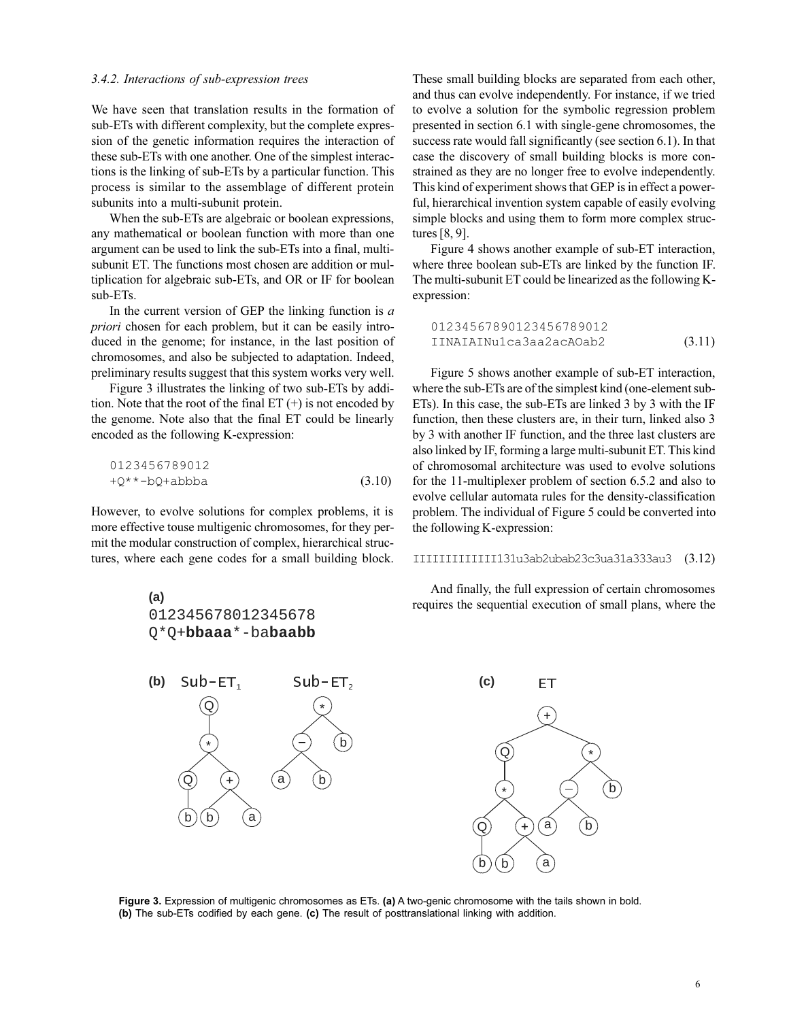#### *3.4.2. Interactions of sub-expression trees*

We have seen that translation results in the formation of sub-ETs with different complexity, but the complete expression of the genetic information requires the interaction of these sub-ETs with one another. One of the simplest interactions is the linking of sub-ETs by a particular function. This process is similar to the assemblage of different protein subunits into a multi-subunit protein.

When the sub-ETs are algebraic or boolean expressions, any mathematical or boolean function with more than one argument can be used to link the sub-ETs into a final, multisubunit ET. The functions most chosen are addition or multiplication for algebraic sub-ETs, and OR or IF for boolean sub-ETs.

In the current version of GEP the linking function is *a priori* chosen for each problem, but it can be easily introduced in the genome; for instance, in the last position of chromosomes, and also be subjected to adaptation. Indeed, preliminary results suggest that this system works very well.

Figure 3 illustrates the linking of two sub-ETs by addition. Note that the root of the final  $ET (+)$  is not encoded by the genome. Note also that the final ET could be linearly encoded as the following K-expression:

$$
0123456789012
$$
  
+Q<sup>\*\*</sup>-bQ+abbba (3.10)

However, to evolve solutions for complex problems, it is more effective touse multigenic chromosomes, for they permit the modular construction of complex, hierarchical structures, where each gene codes for a small building block.



These small building blocks are separated from each other, and thus can evolve independently. For instance, if we tried to evolve a solution for the symbolic regression problem presented in section 6.1 with single-gene chromosomes, the success rate would fall significantly (see section 6.1). In that case the discovery of small building blocks is more constrained as they are no longer free to evolve independently. This kind of experiment shows that GEP is in effect a powerful, hierarchical invention system capable of easily evolving simple blocks and using them to form more complex structures [8, 9].

Figure 4 shows another example of sub-ET interaction, where three boolean sub-ETs are linked by the function IF. The multi-subunit ET could be linearized as the following Kexpression:

01234567890123456789012 IINAIAINu1ca3aa2acAOab2 (3.11)

Figure 5 shows another example of sub-ET interaction, where the sub-ETs are of the simplest kind (one-element sub-ETs). In this case, the sub-ETs are linked 3 by 3 with the IF function, then these clusters are, in their turn, linked also 3 by 3 with another IF function, and the three last clusters are also linked by IF, forming a large multi-subunit ET. This kind of chromosomal architecture was used to evolve solutions for the 11-multiplexer problem of section 6.5.2 and also to evolve cellular automata rules for the density-classification problem. The individual of Figure 5 could be converted into the following K-expression:

#### IIIIIIIIIIIII131u3ab2ubab23c3ua31a333au3 (3.12)

And finally, the full expression of certain chromosomes requires the sequential execution of small plans, where the



**Figure 3.** Expression of multigenic chromosomes as ETs. **(a)** A two-genic chromosome with the tails shown in bold. **(b)** The sub-ETs codified by each gene. **(c)** The result of posttranslational linking with addition.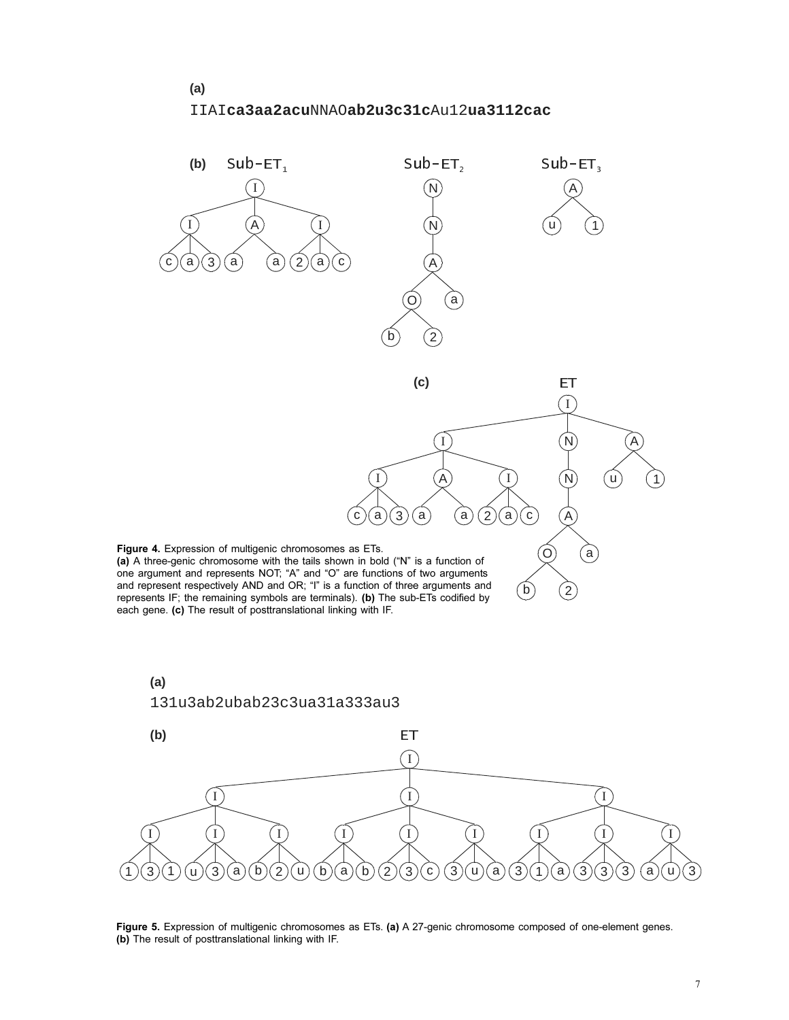## IIAI NNAO Au12 **ca3aa2acu ab2u3c31c ua3112cac**





**Figure 5.** Expression of multigenic chromosomes as ETs. **(a)** A 27-genic chromosome composed of one-element genes. **(b)** The result of posttranslational linking with IF.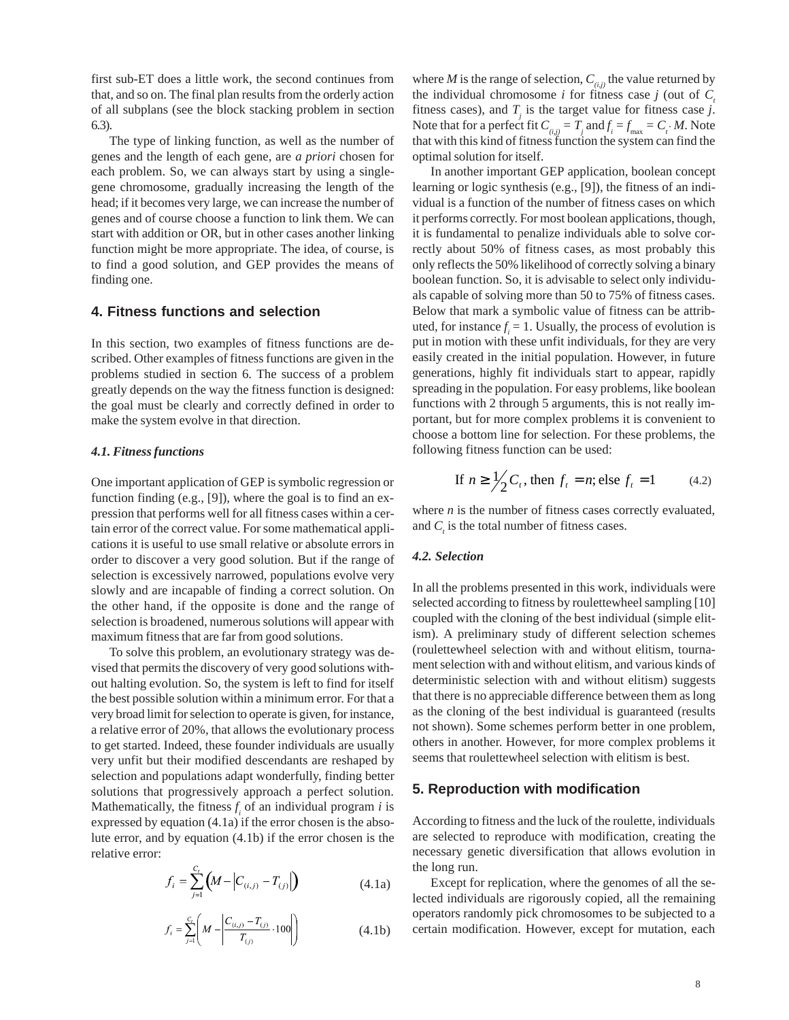first sub-ET does a little work, the second continues from that, and so on. The final plan results from the orderly action of all subplans (see the block stacking problem in section 6.3).

The type of linking function, as well as the number of genes and the length of each gene, are *a priori* chosen for each problem. So, we can always start by using a singlegene chromosome, gradually increasing the length of the head; if it becomes very large, we can increase the number of genes and of course choose a function to link them. We can start with addition or OR, but in other cases another linking function might be more appropriate. The idea, of course, is to find a good solution, and GEP provides the means of finding one.

# **4. Fitness functions and selection**

In this section, two examples of fitness functions are described. Other examples of fitness functions are given in the problems studied in section 6. The success of a problem greatly depends on the way the fitness function is designed: the goal must be clearly and correctly defined in order to make the system evolve in that direction.

#### *4.1. Fitness functions*

One important application of GEP is symbolic regression or function finding (e.g., [9]), where the goal is to find an expression that performs well for all fitness cases within a certain error of the correct value. For some mathematical applications it is useful to use small relative or absolute errors in order to discover a very good solution. But if the range of selection is excessively narrowed, populations evolve very slowly and are incapable of finding a correct solution. On the other hand, if the opposite is done and the range of selection is broadened, numerous solutions will appear with maximum fitness that are far from good solutions.

To solve this problem, an evolutionary strategy was devised that permits the discovery of very good solutions without halting evolution. So, the system is left to find for itself the best possible solution within a minimum error. For that a very broad limit for selection to operate is given, for instance, a relative error of 20%, that allows the evolutionary process to get started. Indeed, these founder individuals are usually very unfit but their modified descendants are reshaped by selection and populations adapt wonderfully, finding better solutions that progressively approach a perfect solution. Mathematically, the fitness  $f_i$  of an individual program *i* is expressed by equation (4.1a) if the error chosen is the absolute error, and by equation (4.1b) if the error chosen is the relative error:

$$
f_i = \sum_{j=1}^{C_i} \left( M - \left| C_{(i,j)} - T_{(j)} \right| \right) \tag{4.1a}
$$

$$
f_i = \sum_{j=1}^{C_i} \left( M - \left| \frac{C_{(i,j)} - T_{(j)}}{T_{(j)}} \cdot 100 \right| \right) \tag{4.1b}
$$

where *M* is the range of selection,  $C_{(i,j)}$  the value returned by the individual chromosome *i* for fitness case *j* (out of  $C_i$ fitness cases), and  $T_j$  is the target value for fitness case *j*. Note that for a perfect fit  $C_{\left(i,j\right)} = T_j$  and  $f_i = f_{\text{max}} = C_i \cdot M$ . Note that with this kind of fitness function the system can find the optimal solution for itself.

In another important GEP application, boolean concept learning or logic synthesis (e.g., [9]), the fitness of an individual is a function of the number of fitness cases on which it performs correctly. For most boolean applications, though, it is fundamental to penalize individuals able to solve correctly about 50% of fitness cases, as most probably this only reflects the 50% likelihood of correctly solving a binary boolean function. So, it is advisable to select only individuals capable of solving more than 50 to 75% of fitness cases. Below that mark a symbolic value of fitness can be attributed, for instance  $f_i = 1$ . Usually, the process of evolution is put in motion with these unfit individuals, for they are very easily created in the initial population. However, in future generations, highly fit individuals start to appear, rapidly spreading in the population. For easy problems, like boolean functions with 2 through 5 arguments, this is not really important, but for more complex problems it is convenient to choose a bottom line for selection. For these problems, the following fitness function can be used:

If 
$$
n \ge \frac{1}{2}C_t
$$
, then  $f_t = n$ ; else  $f_t = 1$  (4.2)

where *n* is the number of fitness cases correctly evaluated, and  $C<sub>i</sub>$  is the total number of fitness cases.

#### *4.2. Selection*

In all the problems presented in this work, individuals were selected according to fitness by roulettewheel sampling [10] coupled with the cloning of the best individual (simple elitism). A preliminary study of different selection schemes (roulettewheel selection with and without elitism, tournament selection with and without elitism, and various kinds of deterministic selection with and without elitism) suggests that there is no appreciable difference between them as long as the cloning of the best individual is guaranteed (results not shown). Some schemes perform better in one problem, others in another. However, for more complex problems it seems that roulettewheel selection with elitism is best.

## **5. Reproduction with modification**

According to fitness and the luck of the roulette, individuals are selected to reproduce with modification, creating the necessary genetic diversification that allows evolution in the long run.

Except for replication, where the genomes of all the selected individuals are rigorously copied, all the remaining operators randomly pick chromosomes to be subjected to a certain modification. However, except for mutation, each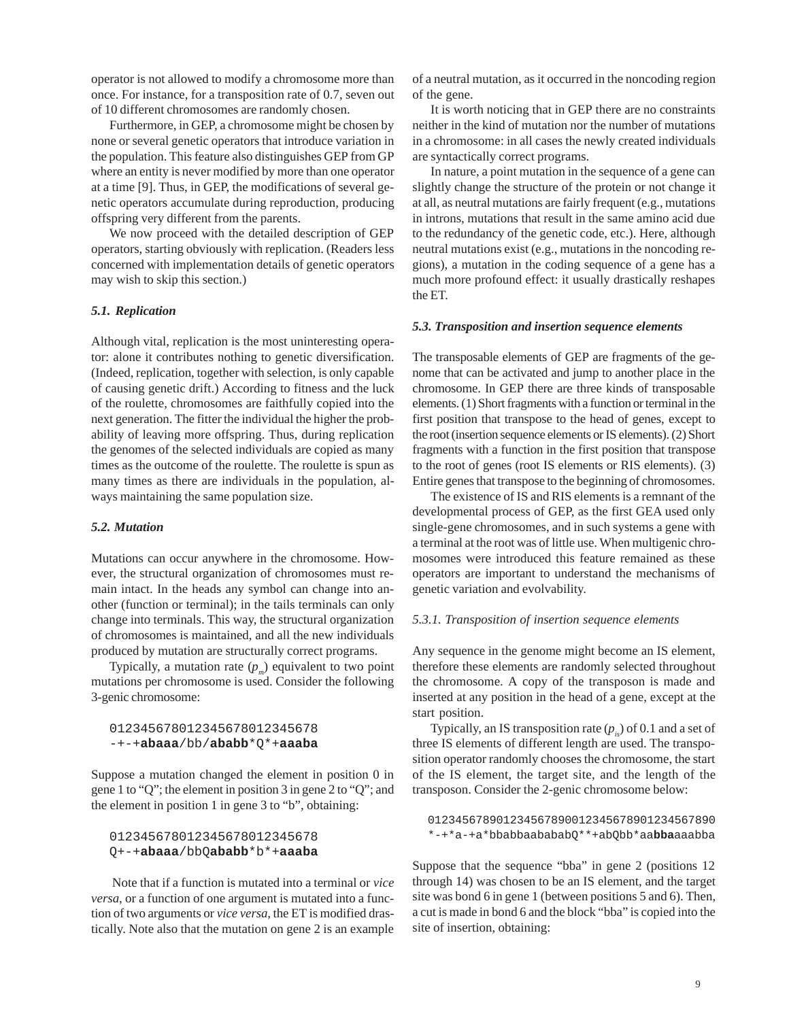operator is not allowed to modify a chromosome more than once. For instance, for a transposition rate of 0.7, seven out of 10 different chromosomes are randomly chosen.

Furthermore, in GEP, a chromosome might be chosen by none or several genetic operators that introduce variation in the population. This feature also distinguishes GEP from GP where an entity is never modified by more than one operator at a time [9]. Thus, in GEP, the modifications of several genetic operators accumulate during reproduction, producing offspring very different from the parents.

We now proceed with the detailed description of GEP operators, starting obviously with replication. (Readers less concerned with implementation details of genetic operators may wish to skip this section.)

#### *5.1. Replication*

Although vital, replication is the most uninteresting operator: alone it contributes nothing to genetic diversification. (Indeed, replication, together with selection, is only capable of causing genetic drift.) According to fitness and the luck of the roulette, chromosomes are faithfully copied into the next generation. The fitter the individual the higher the probability of leaving more offspring. Thus, during replication the genomes of the selected individuals are copied as many times as the outcome of the roulette. The roulette is spun as many times as there are individuals in the population, always maintaining the same population size.

#### *5.2. Mutation*

Mutations can occur anywhere in the chromosome. However, the structural organization of chromosomes must remain intact. In the heads any symbol can change into another (function or terminal); in the tails terminals can only change into terminals. This way, the structural organization of chromosomes is maintained, and all the new individuals produced by mutation are structurally correct programs.

Typically, a mutation rate  $(p_m)$  equivalent to two point mutations per chromosome is used. Consider the following 3-genic chromosome:

## 012345678012345678012345678 -+-+**abaaa**/bb/**ababb**\*Q\*+**aaaba**

Suppose a mutation changed the element in position 0 in gene 1 to "Q"; the element in position 3 in gene 2 to "Q"; and the element in position 1 in gene 3 to "b", obtaining:

## 012345678012345678012345678 Q+-+**abaaa**/bbQ**ababb**\*b\*+**aaaba**

 Note that if a function is mutated into a terminal or *vice versa*, or a function of one argument is mutated into a function of two arguments or *vice versa*, the ET is modified drastically. Note also that the mutation on gene 2 is an example

of a neutral mutation, as it occurred in the noncoding region of the gene.

It is worth noticing that in GEP there are no constraints neither in the kind of mutation nor the number of mutations in a chromosome: in all cases the newly created individuals are syntactically correct programs.

In nature, a point mutation in the sequence of a gene can slightly change the structure of the protein or not change it at all, as neutral mutations are fairly frequent (e.g., mutations in introns, mutations that result in the same amino acid due to the redundancy of the genetic code, etc.). Here, although neutral mutations exist (e.g., mutations in the noncoding regions), a mutation in the coding sequence of a gene has a much more profound effect: it usually drastically reshapes the ET.

#### *5.3. Transposition and insertion sequence elements*

The transposable elements of GEP are fragments of the genome that can be activated and jump to another place in the chromosome. In GEP there are three kinds of transposable elements. (1) Short fragments with a function or terminal in the first position that transpose to the head of genes, except to the root (insertion sequence elements or IS elements). (2) Short fragments with a function in the first position that transpose to the root of genes (root IS elements or RIS elements). (3) Entire genes that transpose to the beginning of chromosomes.

The existence of IS and RIS elements is a remnant of the developmental process of GEP, as the first GEA used only single-gene chromosomes, and in such systems a gene with a terminal at the root was of little use. When multigenic chromosomes were introduced this feature remained as these operators are important to understand the mechanisms of genetic variation and evolvability.

## *5.3.1. Transposition of insertion sequence elements*

Any sequence in the genome might become an IS element, therefore these elements are randomly selected throughout the chromosome. A copy of the transposon is made and inserted at any position in the head of a gene, except at the start position.

Typically, an IS transposition rate  $(p_{i<sub>s</sub>})$  of 0.1 and a set of three IS elements of different length are used. The transposition operator randomly chooses the chromosome, the start of the IS element, the target site, and the length of the transposon. Consider the 2-genic chromosome below:

 012345678901234567890012345678901234567890 \*-+\*a-+a\*bbabbaabababQ\*\*+abQbb\*aa**bba**aaabba

Suppose that the sequence "bba" in gene 2 (positions 12 through 14) was chosen to be an IS element, and the target site was bond 6 in gene 1 (between positions 5 and 6). Then, a cut is made in bond 6 and the block "bba" is copied into the site of insertion, obtaining: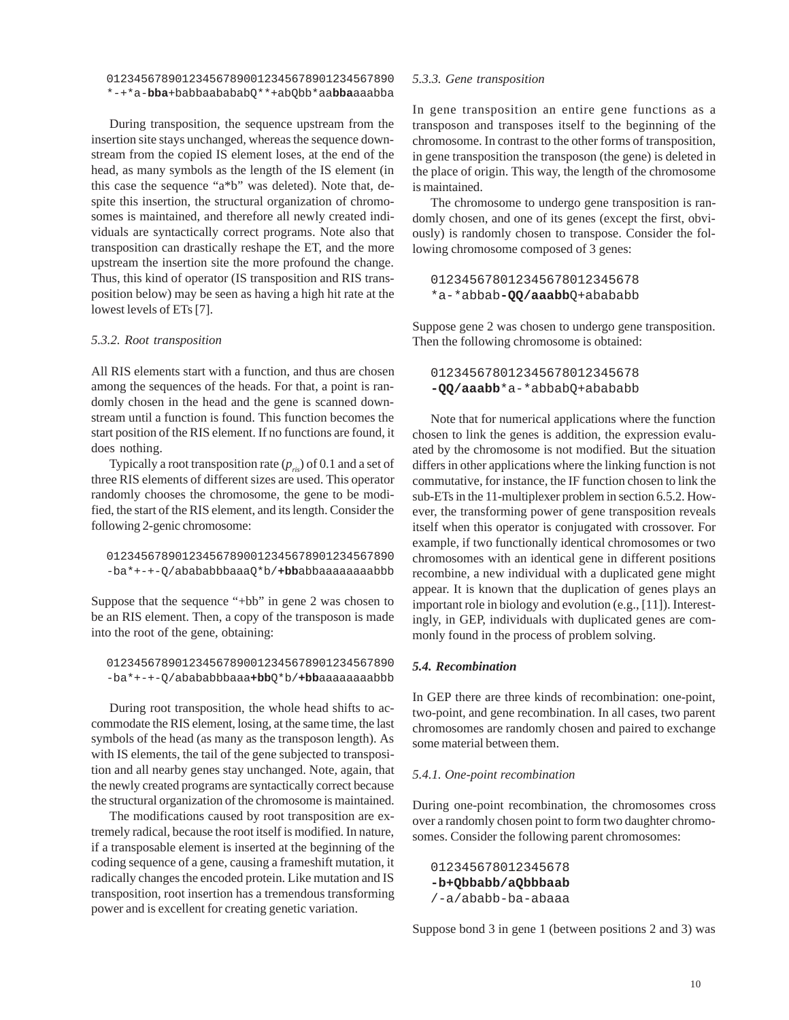### 012345678901234567890012345678901234567890 \*-+\*a-**bba**+babbaabababQ\*\*+abQbb\*aa**bba**aaabba

During transposition, the sequence upstream from the insertion site stays unchanged, whereas the sequence downstream from the copied IS element loses, at the end of the head, as many symbols as the length of the IS element (in this case the sequence "a\*b" was deleted). Note that, despite this insertion, the structural organization of chromosomes is maintained, and therefore all newly created individuals are syntactically correct programs. Note also that transposition can drastically reshape the ET, and the more upstream the insertion site the more profound the change. Thus, this kind of operator (IS transposition and RIS transposition below) may be seen as having a high hit rate at the lowest levels of ETs [7].

#### *5.3.2. Root transposition*

All RIS elements start with a function, and thus are chosen among the sequences of the heads. For that, a point is randomly chosen in the head and the gene is scanned downstream until a function is found. This function becomes the start position of the RIS element. If no functions are found, it does nothing.

Typically a root transposition rate  $(p_{\eta s})$  of 0.1 and a set of three RIS elements of different sizes are used. This operator randomly chooses the chromosome, the gene to be modified, the start of the RIS element, and its length. Consider the following 2-genic chromosome:

 012345678901234567890012345678901234567890 -ba\*+-+-Q/abababbbaaaQ\*b/**+bb**abbaaaaaaaabbb

Suppose that the sequence "+bb" in gene 2 was chosen to be an RIS element. Then, a copy of the transposon is made into the root of the gene, obtaining:

 012345678901234567890012345678901234567890 -ba\*+-+-Q/abababbbaaa**+bb**Q\*b/**+bb**aaaaaaaabbb

During root transposition, the whole head shifts to accommodate the RIS element, losing, at the same time, the last symbols of the head (as many as the transposon length). As with IS elements, the tail of the gene subjected to transposition and all nearby genes stay unchanged. Note, again, that the newly created programs are syntactically correct because the structural organization of the chromosome is maintained.

The modifications caused by root transposition are extremely radical, because the root itself is modified. In nature, if a transposable element is inserted at the beginning of the coding sequence of a gene, causing a frameshift mutation, it radically changes the encoded protein. Like mutation and IS transposition, root insertion has a tremendous transforming power and is excellent for creating genetic variation.

### *5.3.3. Gene transposition*

In gene transposition an entire gene functions as a transposon and transposes itself to the beginning of the chromosome. In contrast to the other forms of transposition, in gene transposition the transposon (the gene) is deleted in the place of origin. This way, the length of the chromosome is maintained.

The chromosome to undergo gene transposition is randomly chosen, and one of its genes (except the first, obviously) is randomly chosen to transpose. Consider the following chromosome composed of 3 genes:

012345678012345678012345678 \*a-\*abbab**-QQ/aaabb**Q+abababb

Suppose gene 2 was chosen to undergo gene transposition. Then the following chromosome is obtained:

012345678012345678012345678 **-QQ/aaabb**\*a-\*abbabQ+abababb

Note that for numerical applications where the function chosen to link the genes is addition, the expression evaluated by the chromosome is not modified. But the situation differs in other applications where the linking function is not commutative, for instance, the IF function chosen to link the sub-ETs in the 11-multiplexer problem in section 6.5.2. However, the transforming power of gene transposition reveals itself when this operator is conjugated with crossover. For example, if two functionally identical chromosomes or two chromosomes with an identical gene in different positions recombine, a new individual with a duplicated gene might appear. It is known that the duplication of genes plays an important role in biology and evolution (e.g., [11]). Interestingly, in GEP, individuals with duplicated genes are commonly found in the process of problem solving.

### *5.4. Recombination*

In GEP there are three kinds of recombination: one-point, two-point, and gene recombination. In all cases, two parent chromosomes are randomly chosen and paired to exchange some material between them.

#### *5.4.1. One-point recombination*

During one-point recombination, the chromosomes cross over a randomly chosen point to form two daughter chromosomes. Consider the following parent chromosomes:

012345678012345678 **-b+Qbbabb/aQbbbaab** /-a/ababb-ba-abaaa

Suppose bond 3 in gene 1 (between positions 2 and 3) was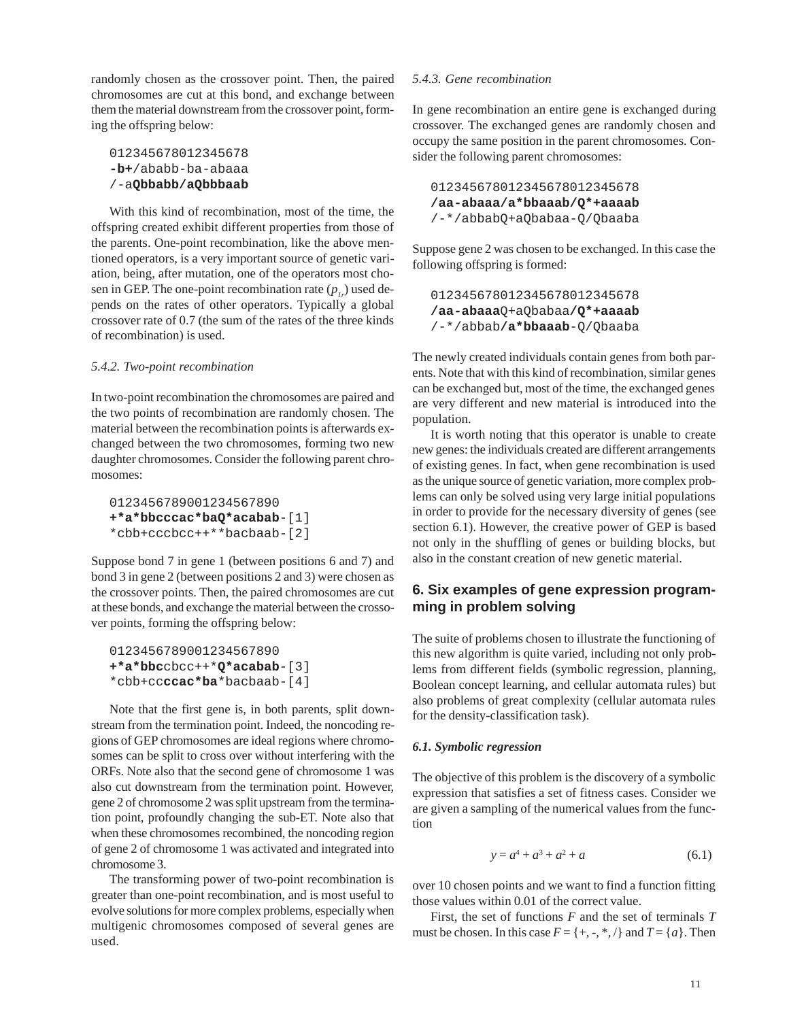randomly chosen as the crossover point. Then, the paired chromosomes are cut at this bond, and exchange between them the material downstream from the crossover point, forming the offspring below:

```
012345678012345678
-b+/ababb-ba-abaaa
/-aQbbabb/aQbbbaab
```
With this kind of recombination, most of the time, the offspring created exhibit different properties from those of the parents. One-point recombination, like the above mentioned operators, is a very important source of genetic variation, being, after mutation, one of the operators most chosen in GEP. The one-point recombination rate  $(p_i)$  used depends on the rates of other operators. Typically a global crossover rate of 0.7 (the sum of the rates of the three kinds of recombination) is used.

#### *5.4.2. Two-point recombination*

In two-point recombination the chromosomes are paired and the two points of recombination are randomly chosen. The material between the recombination points is afterwards exchanged between the two chromosomes, forming two new daughter chromosomes. Consider the following parent chromosomes:

```
0123456789001234567890
+*a*bbcccac*baQ*acabab-[1]
*cbb+cccbcc++**bacbaab-[2]
```
Suppose bond 7 in gene 1 (between positions 6 and 7) and bond 3 in gene 2 (between positions 2 and 3) were chosen as the crossover points. Then, the paired chromosomes are cut at these bonds, and exchange the material between the crossover points, forming the offspring below:

```
0123456789001234567890
+*a*bbccbcc++*Q*acabab-[3]
*cbb+ccccac*ba*bacbaab-[4]
```
Note that the first gene is, in both parents, split downstream from the termination point. Indeed, the noncoding regions of GEP chromosomes are ideal regions where chromosomes can be split to cross over without interfering with the ORFs. Note also that the second gene of chromosome 1 was also cut downstream from the termination point. However, gene 2 of chromosome 2 was split upstream from the termination point, profoundly changing the sub-ET. Note also that when these chromosomes recombined, the noncoding region of gene 2 of chromosome 1 was activated and integrated into chromosome 3.

The transforming power of two-point recombination is greater than one-point recombination, and is most useful to evolve solutions for more complex problems, especially when multigenic chromosomes composed of several genes are used.

## *5.4.3. Gene recombination*

In gene recombination an entire gene is exchanged during crossover. The exchanged genes are randomly chosen and occupy the same position in the parent chromosomes. Consider the following parent chromosomes:

012345678012345678012345678 **/aa-abaaa/a\*bbaaab/Q\*+aaaab** /-\*/abbabQ+aQbabaa-Q/Qbaaba

Suppose gene 2 was chosen to be exchanged. In this case the following offspring is formed:

012345678012345678012345678 **/aa-abaaa**Q+aQbabaa**/Q\*+aaaab** /-\*/abbab**/a\*bbaaab**-Q/Qbaaba

The newly created individuals contain genes from both parents. Note that with this kind of recombination, similar genes can be exchanged but, most of the time, the exchanged genes are very different and new material is introduced into the population.

It is worth noting that this operator is unable to create new genes: the individuals created are different arrangements of existing genes. In fact, when gene recombination is used as the unique source of genetic variation, more complex problems can only be solved using very large initial populations in order to provide for the necessary diversity of genes (see section 6.1). However, the creative power of GEP is based not only in the shuffling of genes or building blocks, but also in the constant creation of new genetic material.

# **6. Six examples of gene expression programming in problem solving**

The suite of problems chosen to illustrate the functioning of this new algorithm is quite varied, including not only problems from different fields (symbolic regression, planning, Boolean concept learning, and cellular automata rules) but also problems of great complexity (cellular automata rules for the density-classification task).

## *6.1. Symbolic regression*

The objective of this problem is the discovery of a symbolic expression that satisfies a set of fitness cases. Consider we are given a sampling of the numerical values from the function

$$
y = a^4 + a^3 + a^2 + a \tag{6.1}
$$

over 10 chosen points and we want to find a function fitting those values within 0.01 of the correct value.

First, the set of functions *F* and the set of terminals *T* must be chosen. In this case  $F = \{+, -, *, /\}$  and  $T = \{a\}$ . Then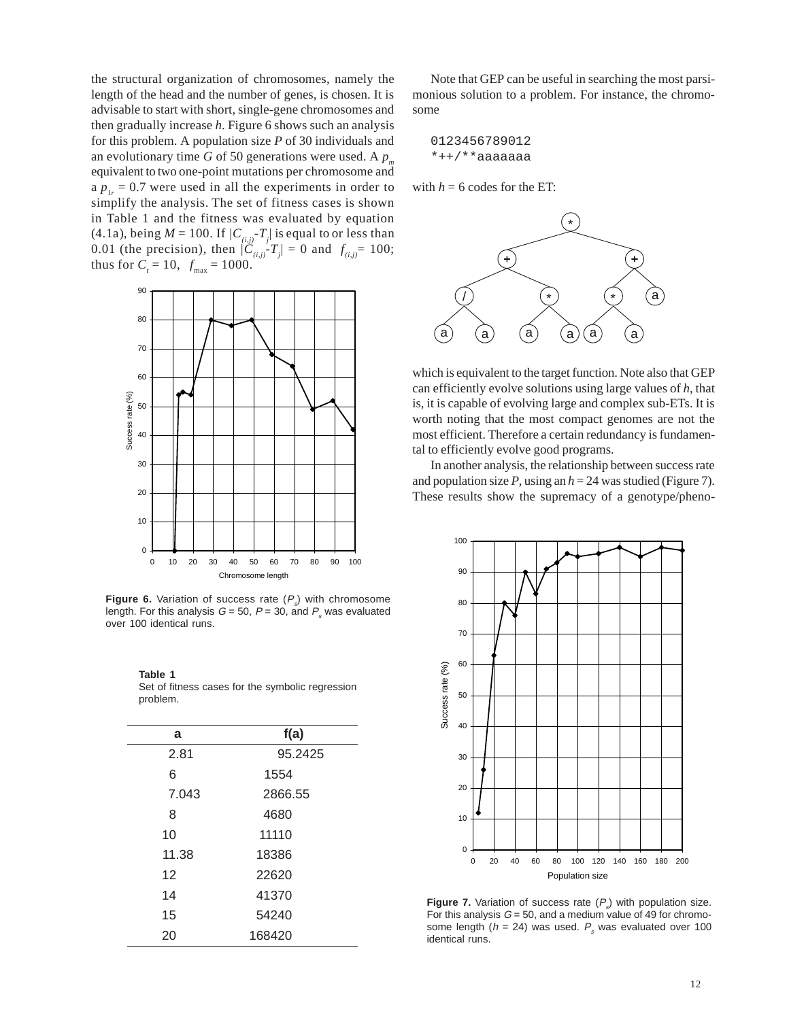the structural organization of chromosomes, namely the length of the head and the number of genes, is chosen. It is advisable to start with short, single-gene chromosomes and then gradually increase *h*. Figure 6 shows such an analysis for this problem. A population size *P* of 30 individuals and an evolutionary time *G* of 50 generations were used. A  $p_m$ equivalent to two one-point mutations per chromosome and a  $p_{1r} = 0.7$  were used in all the experiments in order to simplify the analysis. The set of fitness cases is shown in Table 1 and the fitness was evaluated by equation (4.1a), being  $M = 100$ . If  $/C_{(i,j)}$ - $T_j$  is equal to or less than 0.01 (the precision), then  $|\tilde{C}_{(i,j)} - T_j| = 0$  and  $f_{(i,j)} = 100$ ; thus for  $C_t = 10$ ,  $f_{\text{max}} = 1000$ .



**Figure 6.** Variation of success rate  $(P_s)$  with chromosome length. For this analysis  $G = 50$ ,  $P = 30$ , and  $P<sub>s</sub>$  was evaluated over 100 identical runs.

| a     | f(a)    |
|-------|---------|
| 2.81  | 95.2425 |
| 6     | 1554    |
| 7.043 | 2866.55 |
| 8     | 4680    |
| 10    | 11110   |
| 11.38 | 18386   |
| 12    | 22620   |
| 14    | 41370   |
| 15    | 54240   |
| 20    | 168420  |

**Table 1** Set of fitness cases for the symbolic regression problem.

Note that GEP can be useful in searching the most parsimonious solution to a problem. For instance, the chromosome

$$
0123456789012
$$
  
\*++/\*\*aaaaaaaa

with  $h = 6$  codes for the ET:



which is equivalent to the target function. Note also that GEP can efficiently evolve solutions using large values of *h*, that is, it is capable of evolving large and complex sub-ETs. It is worth noting that the most compact genomes are not the most efficient. Therefore a certain redundancy is fundamental to efficiently evolve good programs.

In another analysis, the relationship between success rate and population size  $P$ , using an  $h = 24$  was studied (Figure 7). These results show the supremacy of a genotype/pheno-



**Figure 7.** Variation of success rate  $(P_s)$  with population size. For this analysis  $G = 50$ , and a medium value of 49 for chromosome length ( $h = 24$ ) was used.  $P_s$  was evaluated over 100 identical runs.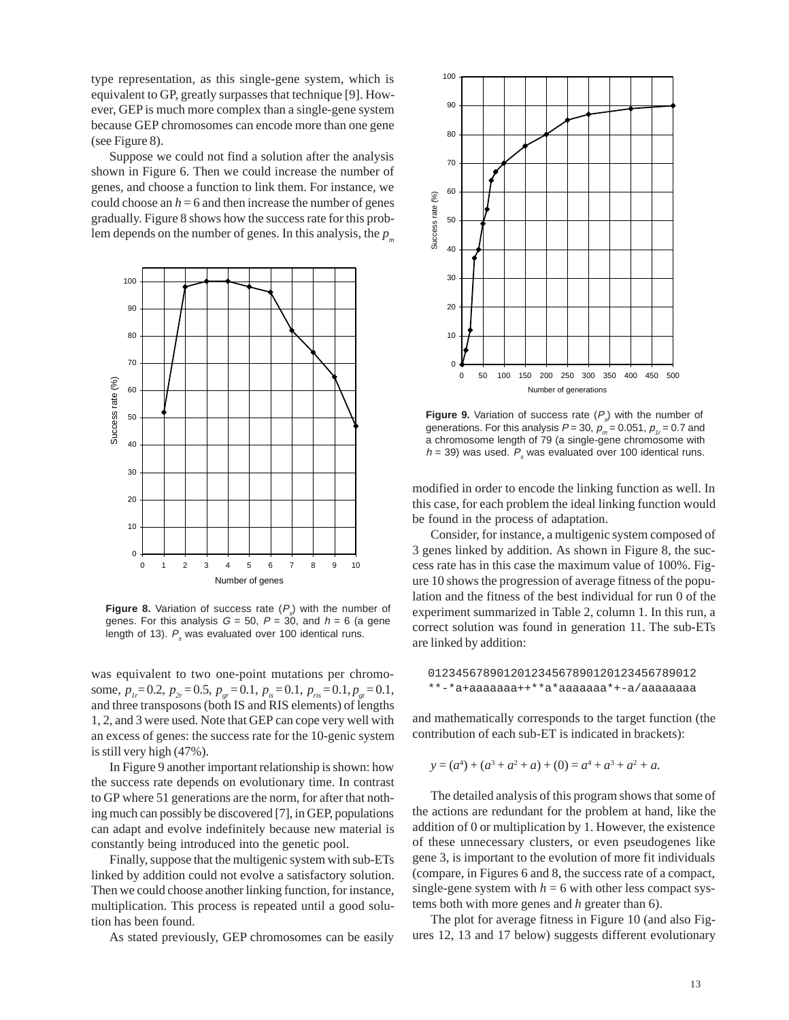type representation, as this single-gene system, which is equivalent to GP, greatly surpasses that technique [9]. However, GEP is much more complex than a single-gene system because GEP chromosomes can encode more than one gene (see Figure 8).

Suppose we could not find a solution after the analysis shown in Figure 6. Then we could increase the number of genes, and choose a function to link them. For instance, we could choose an  $h = 6$  and then increase the number of genes gradually. Figure 8 shows how the success rate for this problem depends on the number of genes. In this analysis, the  $p_m$ 



**Figure 8.** Variation of success rate  $(P_s)$  with the number of genes. For this analysis  $G = 50$ ,  $P = 30$ , and  $h = 6$  (a gene length of 13).  $P_s$  was evaluated over 100 identical runs.

was equivalent to two one-point mutations per chromosome,  $p_{1r} = 0.2$ ,  $p_{2r} = 0.5$ ,  $p_{2r} = 0.1$ ,  $p_{1s} = 0.1$ ,  $p_{1s} = 0.1$ ,  $p_{2r} = 0.1$ , and three transposons (both IS and RIS elements) of lengths 1, 2, and 3 were used. Note that GEP can cope very well with an excess of genes: the success rate for the 10-genic system is still very high (47%).

In Figure 9 another important relationship is shown: how the success rate depends on evolutionary time. In contrast to GP where 51 generations are the norm, for after that nothing much can possibly be discovered [7], in GEP, populations can adapt and evolve indefinitely because new material is constantly being introduced into the genetic pool.

Finally, suppose that the multigenic system with sub-ETs linked by addition could not evolve a satisfactory solution. Then we could choose another linking function, for instance, multiplication. This process is repeated until a good solution has been found.

As stated previously, GEP chromosomes can be easily



**Figure 9.** Variation of success rate  $(P_s)$  with the number of generations. For this analysis  $P = 30$ ,  $p_m = 0.051$ ,  $p_t = 0.7$  and a chromosome length of 79 (a single-gene chromosome with  $h = 39$ ) was used.  $P<sub>s</sub>$  was evaluated over 100 identical runs.

modified in order to encode the linking function as well. In this case, for each problem the ideal linking function would be found in the process of adaptation.

Consider, for instance, a multigenic system composed of 3 genes linked by addition. As shown in Figure 8, the success rate has in this case the maximum value of 100%. Figure 10 shows the progression of average fitness of the population and the fitness of the best individual for run 0 of the experiment summarized in Table 2, column 1. In this run, a correct solution was found in generation 11. The sub-ETs are linked by addition:

 012345678901201234567890120123456789012 \*\*-\*a+aaaaaaa++\*\*a\*aaaaaaa\*+-a/aaaaaaaa

and mathematically corresponds to the target function (the contribution of each sub-ET is indicated in brackets):

$$
y = (a4) + (a3 + a2 + a) + (0) = a4 + a3 + a2 + a.
$$

The detailed analysis of this program shows that some of the actions are redundant for the problem at hand, like the addition of 0 or multiplication by 1. However, the existence of these unnecessary clusters, or even pseudogenes like gene 3, is important to the evolution of more fit individuals (compare, in Figures 6 and 8, the success rate of a compact, single-gene system with  $h = 6$  with other less compact systems both with more genes and *h* greater than 6).

The plot for average fitness in Figure 10 (and also Figures 12, 13 and 17 below) suggests different evolutionary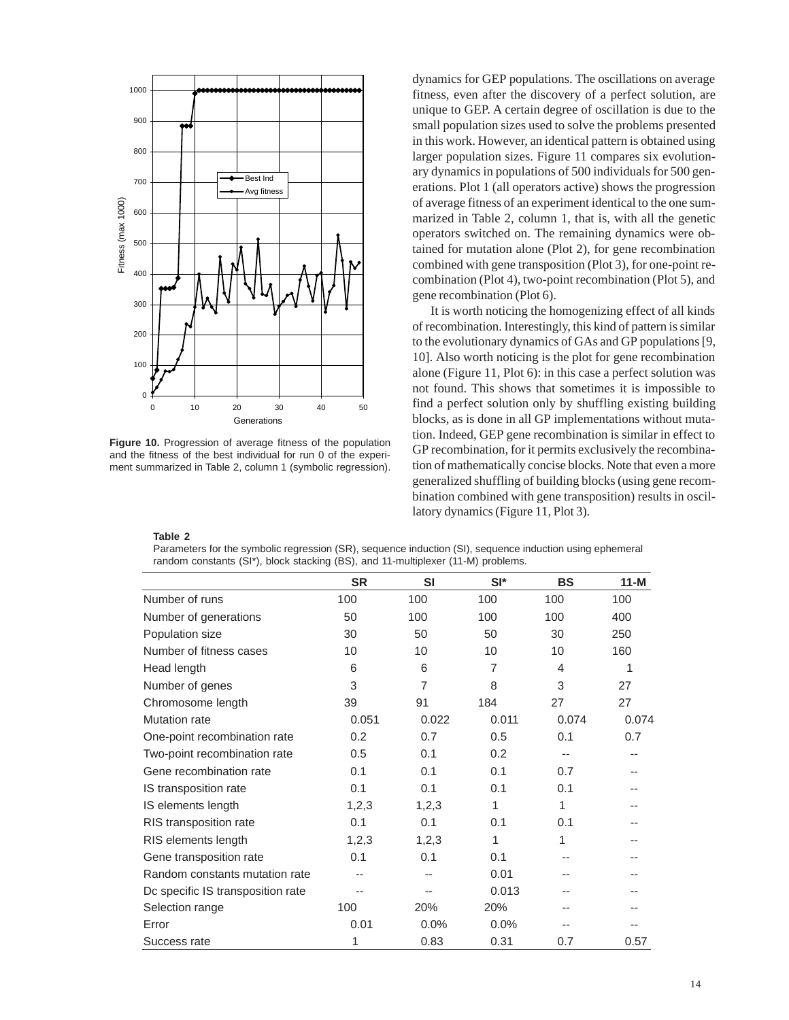

**Figure 10.** Progression of average fitness of the population and the fitness of the best individual for run 0 of the experiment summarized in Table 2, column 1 (symbolic regression).

dynamics for GEP populations. The oscillations on average fitness, even after the discovery of a perfect solution, are unique to GEP. A certain degree of oscillation is due to the small population sizes used to solve the problems presented in this work. However, an identical pattern is obtained using larger population sizes. Figure 11 compares six evolutionary dynamics in populations of 500 individuals for 500 generations. Plot 1 (all operators active) shows the progression of average fitness of an experiment identical to the one summarized in Table 2, column 1, that is, with all the genetic operators switched on. The remaining dynamics were obtained for mutation alone (Plot 2), for gene recombination combined with gene transposition (Plot 3), for one-point recombination (Plot 4), two-point recombination (Plot 5), and gene recombination (Plot 6).

It is worth noticing the homogenizing effect of all kinds of recombination. Interestingly, this kind of pattern is similar to the evolutionary dynamics of GAs and GP populations [9, 10]. Also worth noticing is the plot for gene recombination alone (Figure 11, Plot 6): in this case a perfect solution was not found. This shows that sometimes it is impossible to find a perfect solution only by shuffling existing building blocks, as is done in all GP implementations without mutation. Indeed, GEP gene recombination is similar in effect to GP recombination, for it permits exclusively the recombination of mathematically concise blocks. Note that even a more generalized shuffling of building blocks (using gene recombination combined with gene transposition) results in oscillatory dynamics (Figure 11, Plot 3).

#### **Table 2**

Parameters for the symbolic regression (SR), sequence induction (SI), sequence induction using ephemeral random constants (SI\*), block stacking (BS), and 11-multiplexer (11-M) problems.

|                                   | <b>SR</b> | <b>SI</b>      | $SI^*$ | <b>BS</b> | $11-M$ |
|-----------------------------------|-----------|----------------|--------|-----------|--------|
| Number of runs                    | 100       | 100            | 100    | 100       | 100    |
| Number of generations             | 50        | 100            | 100    | 100       | 400    |
| Population size                   | 30        | 50             | 50     | 30        | 250    |
| Number of fitness cases           | 10        | 10             | 10     | 10        | 160    |
| Head length                       | 6         | 6              | 7      | 4         | 1      |
| Number of genes                   | 3         | $\overline{7}$ | 8      | 3         | 27     |
| Chromosome length                 | 39        | 91             | 184    | 27        | 27     |
| Mutation rate                     | 0.051     | 0.022          | 0.011  | 0.074     | 0.074  |
| One-point recombination rate      | 0.2       | 0.7            | 0.5    | 0.1       | 0.7    |
| Two-point recombination rate      | 0.5       | 0.1            | 0.2    | $- -$     |        |
| Gene recombination rate           | 0.1       | 0.1            | 0.1    | 0.7       |        |
| IS transposition rate             | 0.1       | 0.1            | 0.1    | 0.1       |        |
| IS elements length                | 1,2,3     | 1,2,3          | 1      | 1         |        |
| RIS transposition rate            | 0.1       | 0.1            | 0.1    | 0.1       |        |
| RIS elements length               | 1,2,3     | 1,2,3          | 1      | 1         |        |
| Gene transposition rate           | 0.1       | 0.1            | 0.1    |           |        |
| Random constants mutation rate    |           |                | 0.01   |           |        |
| Dc specific IS transposition rate |           |                | 0.013  |           |        |
| Selection range                   | 100       | 20%            | 20%    |           |        |
| Error                             | 0.01      | 0.0%           | 0.0%   |           |        |
| Success rate                      | 1         | 0.83           | 0.31   | 0.7       | 0.57   |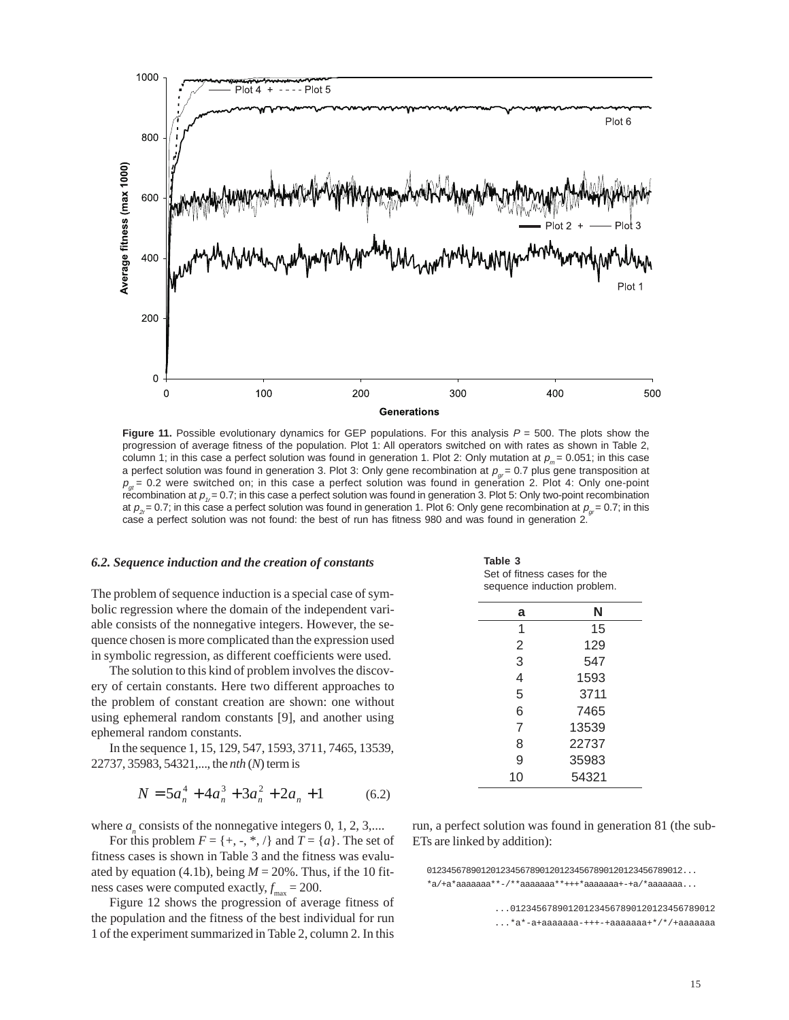

**Figure 11.** Possible evolutionary dynamics for GEP populations. For this analysis  $P = 500$ . The plots show the progression of average fitness of the population. Plot 1: All operators switched on with rates as shown in Table 2, column 1; in this case a perfect solution was found in generation 1. Plot 2: Only mutation at  $p_m = 0.051$ ; in this case a perfect solution was found in generation 3. Plot 3: Only gene recombination at  $p_{\alpha}= 0.7$  plus gene transposition at  $p_{gt}$  = 0.2 were switched on; in this case a perfect solution was found in generation 2. Plot 4: Only one-point recombination at  $p_{1r}= 0.7$ ; in this case a perfect solution was found in generation 3. Plot 5: Only two-point recombination at  $p_{2}= 0.7$ ; in this case a perfect solution was found in generation 1. Plot 6: Only gene recombination at  $p_{2}= 0.7$ ; in this case a perfect solution was not found: the best of run has fitness 980 and was found in generation 2.

#### *6.2. Sequence induction and the creation of constants*

The problem of sequence induction is a special case of symbolic regression where the domain of the independent variable consists of the nonnegative integers. However, the sequence chosen is more complicated than the expression used in symbolic regression, as different coefficients were used.

The solution to this kind of problem involves the discovery of certain constants. Here two different approaches to the problem of constant creation are shown: one without using ephemeral random constants [9], and another using ephemeral random constants.

In the sequence 1, 15, 129, 547, 1593, 3711, 7465, 13539, 22737, 35983, 54321,..., the *nth* (*N*) term is

$$
N = 5a_n^4 + 4a_n^3 + 3a_n^2 + 2a_n + 1 \tag{6.2}
$$

where  $a_n$  consists of the nonnegative integers  $0, 1, 2, 3, \dots$ 

For this problem  $F = \{+, -, *, /\}$  and  $T = \{a\}$ . The set of fitness cases is shown in Table 3 and the fitness was evaluated by equation (4.1b), being  $M = 20\%$ . Thus, if the 10 fitness cases were computed exactly,  $f_{\text{max}} = 200$ .

Figure 12 shows the progression of average fitness of the population and the fitness of the best individual for run 1 of the experiment summarized in Table 2, column 2. In this

**Table 3** Set of fitness cases for the sequence induction problem.

| N     |
|-------|
| 15    |
| 129   |
| 547   |
| 1593  |
| 3711  |
| 7465  |
| 13539 |
| 22737 |
| 35983 |
| 54321 |
|       |

run, a perfect solution was found in generation 81 (the sub-ETs are linked by addition):

 0123456789012012345678901201234567890120123456789012... \*a/+a\*aaaaaaa\*\*-/\*\*aaaaaaa\*\*+++\*aaaaaaa+-+a/\*aaaaaaa...

> ...012345678901201234567890120123456789012 ...\*a\*-a+aaaaaaa-+++-+aaaaaaa+\*/\*/+aaaaaaa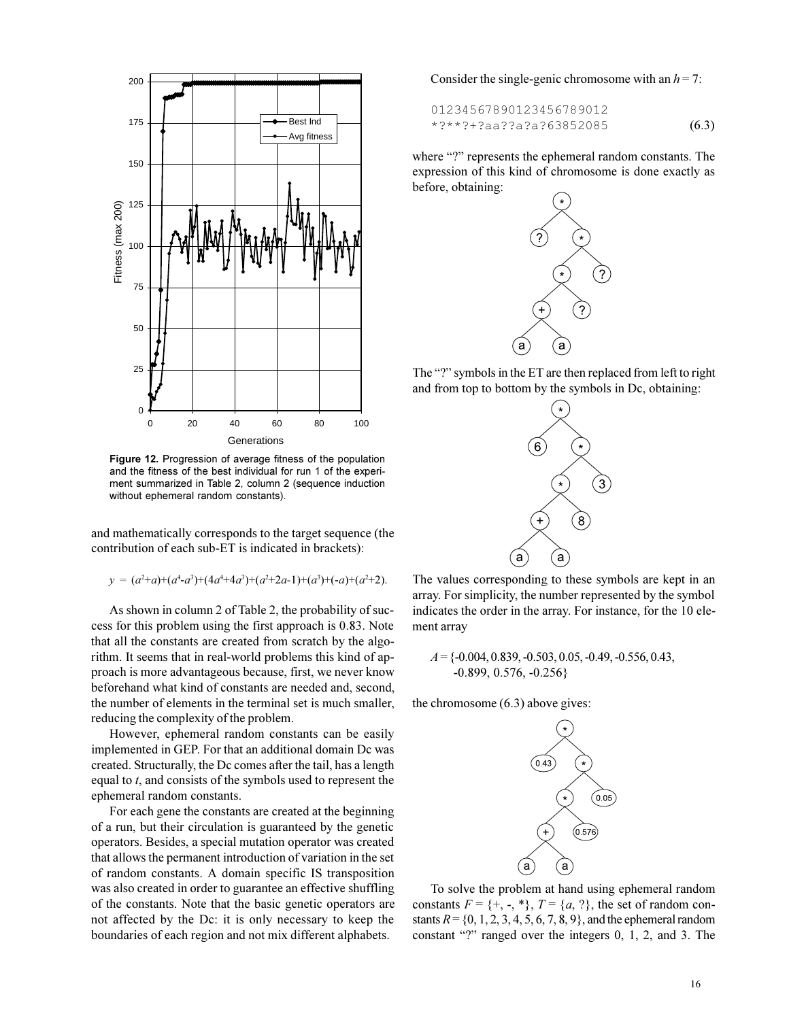

**Figure 12.** Progression of average fitness of the population and the fitness of the best individual for run 1 of the experiment summarized in Table 2, column 2 (sequence induction without ephemeral random constants).

and mathematically corresponds to the target sequence (the contribution of each sub-ET is indicated in brackets):

$$
y = (a^2 + a) + (a^4 - a^3) + (4a^4 + 4a^3) + (a^2 + 2a - 1) + (a^3) + (-a) + (a^2 + 2).
$$

As shown in column 2 of Table 2, the probability of success for this problem using the first approach is 0.83. Note that all the constants are created from scratch by the algorithm. It seems that in real-world problems this kind of approach is more advantageous because, first, we never know beforehand what kind of constants are needed and, second, the number of elements in the terminal set is much smaller, reducing the complexity of the problem.

However, ephemeral random constants can be easily implemented in GEP. For that an additional domain Dc was created. Structurally, the Dc comes after the tail, has a length equal to *t*, and consists of the symbols used to represent the ephemeral random constants.

For each gene the constants are created at the beginning of a run, but their circulation is guaranteed by the genetic operators. Besides, a special mutation operator was created that allows the permanent introduction of variation in the set of random constants. A domain specific IS transposition was also created in order to guarantee an effective shuffling of the constants. Note that the basic genetic operators are not affected by the Dc: it is only necessary to keep the boundaries of each region and not mix different alphabets.

Consider the single-genic chromosome with an  $h = 7$ :

$$
01234567890123456789012
$$
  
\*?\*\*?+?aa??a?a?63852085 (6.3)

where "?" represents the ephemeral random constants. The expression of this kind of chromosome is done exactly as before, obtaining:



The "?" symbols in the ET are then replaced from left to right and from top to bottom by the symbols in Dc, obtaining:



The values corresponding to these symbols are kept in an array. For simplicity, the number represented by the symbol indicates the order in the array. For instance, for the 10 element array

*A* = {-0.004, 0.839, -0.503, 0.05, -0.49, -0.556, 0.43, -0.899, 0.576, -0.256}

the chromosome (6.3) above gives:



To solve the problem at hand using ephemeral random constants  $F = \{+, -, *\}, T = \{a, ?\}$ , the set of random constants  $R = \{0, 1, 2, 3, 4, 5, 6, 7, 8, 9\}$ , and the ephemeral random constant "?" ranged over the integers  $0, 1, 2,$  and  $3$ . The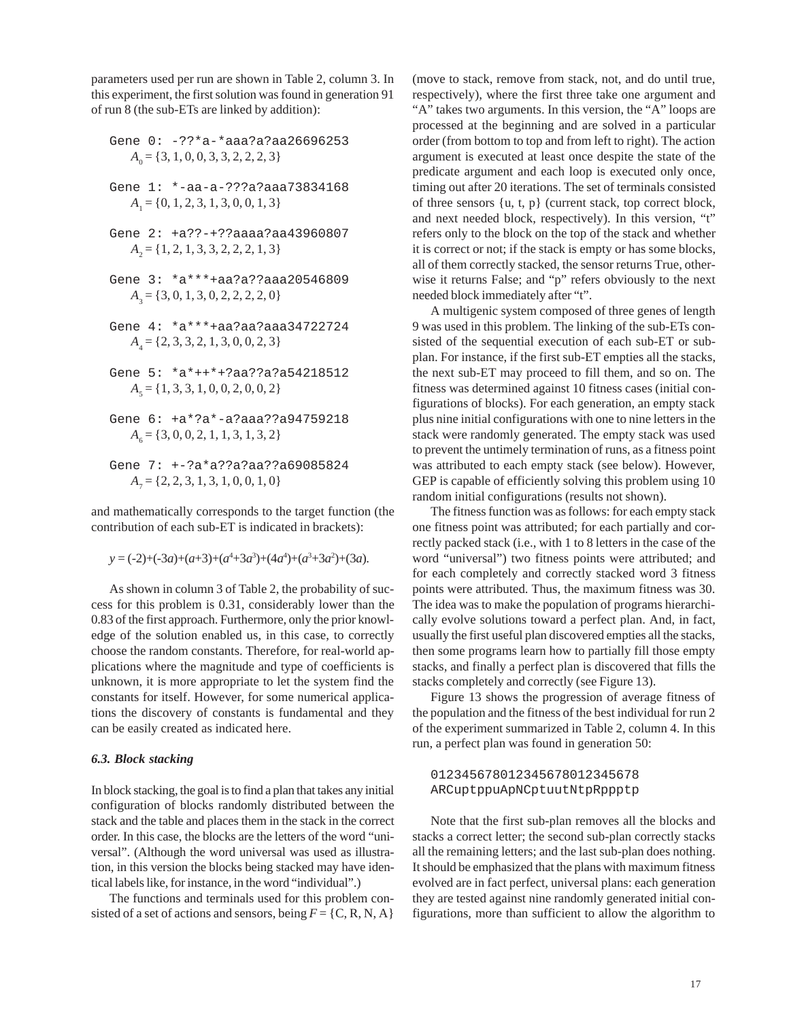parameters used per run are shown in Table 2, column 3. In this experiment, the first solution was found in generation 91 of run 8 (the sub-ETs are linked by addition):

$$
Gene 0: -?? * a-*aaa?a?aa26696253
$$

$$
A_0 = \{3, 1, 0, 0, 3, 3, 2, 2, 2, 3\}
$$

- Gene 1: \*-aa-a-???a?aaa73834168  $A_1 = \{0, 1, 2, 3, 1, 3, 0, 0, 1, 3\}$
- Gene 2: +a??-+??aaaa?aa43960807  $A_2 = \{1, 2, 1, 3, 3, 2, 2, 2, 1, 3\}$
- Gene 3: \*a\*\*\*+aa?a??aaa20546809  $A_3 = \{3, 0, 1, 3, 0, 2, 2, 2, 2, 0\}$
- Gene 4: \*a\*\*\*+aa?aa?aaa34722724 *A*<sub>4</sub> = {2, 3, 3, 2, 1, 3, 0, 0, 2, 3}
- Gene 5: \*a\*++\*+?aa??a?a54218512  $A_5 = \{1, 3, 3, 1, 0, 0, 2, 0, 0, 2\}$
- Gene 6: +a\*?a\*-a?aaa??a94759218 *A*<sub>6</sub> = {3, 0, 0, 2, 1, 1, 3, 1, 3, 2}
- Gene 7: +-?a\*a??a?aa??a69085824  $A_7 = \{2, 2, 3, 1, 3, 1, 0, 0, 1, 0\}$

and mathematically corresponds to the target function (the contribution of each sub-ET is indicated in brackets):

 $y = (-2)+(-3a)+(a+3)+(a^4+3a^3)+(4a^4)+(a^3+3a^2)+(3a).$ 

As shown in column 3 of Table 2, the probability of success for this problem is 0.31, considerably lower than the 0.83 of the first approach. Furthermore, only the prior knowledge of the solution enabled us, in this case, to correctly choose the random constants. Therefore, for real-world applications where the magnitude and type of coefficients is unknown, it is more appropriate to let the system find the constants for itself. However, for some numerical applications the discovery of constants is fundamental and they can be easily created as indicated here.

## *6.3. Block stacking*

In block stacking, the goal is to find a plan that takes any initial configuration of blocks randomly distributed between the stack and the table and places them in the stack in the correct order. In this case, the blocks are the letters of the word "universal". (Although the word universal was used as illustration, in this version the blocks being stacked may have identical labels like, for instance, in the word "individual".)

The functions and terminals used for this problem consisted of a set of actions and sensors, being  $F = \{C, R, N, A\}$ 

(move to stack, remove from stack, not, and do until true, respectively), where the first three take one argument and "A" takes two arguments. In this version, the "A" loops are processed at the beginning and are solved in a particular order (from bottom to top and from left to right). The action argument is executed at least once despite the state of the predicate argument and each loop is executed only once, timing out after 20 iterations. The set of terminals consisted of three sensors {u, t, p} (current stack, top correct block, and next needed block, respectively). In this version, "t" refers only to the block on the top of the stack and whether it is correct or not; if the stack is empty or has some blocks, all of them correctly stacked, the sensor returns True, otherwise it returns False; and "p" refers obviously to the next needed block immediately after "t".

A multigenic system composed of three genes of length 9 was used in this problem. The linking of the sub-ETs consisted of the sequential execution of each sub-ET or subplan. For instance, if the first sub-ET empties all the stacks, the next sub-ET may proceed to fill them, and so on. The fitness was determined against 10 fitness cases (initial configurations of blocks). For each generation, an empty stack plus nine initial configurations with one to nine letters in the stack were randomly generated. The empty stack was used to prevent the untimely termination of runs, as a fitness point was attributed to each empty stack (see below). However, GEP is capable of efficiently solving this problem using 10 random initial configurations (results not shown).

The fitness function was as follows: for each empty stack one fitness point was attributed; for each partially and correctly packed stack (i.e., with 1 to 8 letters in the case of the word "universal") two fitness points were attributed; and for each completely and correctly stacked word 3 fitness points were attributed. Thus, the maximum fitness was 30. The idea was to make the population of programs hierarchically evolve solutions toward a perfect plan. And, in fact, usually the first useful plan discovered empties all the stacks, then some programs learn how to partially fill those empty stacks, and finally a perfect plan is discovered that fills the stacks completely and correctly (see Figure 13).

Figure 13 shows the progression of average fitness of the population and the fitness of the best individual for run 2 of the experiment summarized in Table 2, column 4. In this run, a perfect plan was found in generation 50:

## 012345678012345678012345678 ARCuptppuApNCptuutNtpRppptp

Note that the first sub-plan removes all the blocks and stacks a correct letter; the second sub-plan correctly stacks all the remaining letters; and the last sub-plan does nothing. It should be emphasized that the plans with maximum fitness evolved are in fact perfect, universal plans: each generation they are tested against nine randomly generated initial configurations, more than sufficient to allow the algorithm to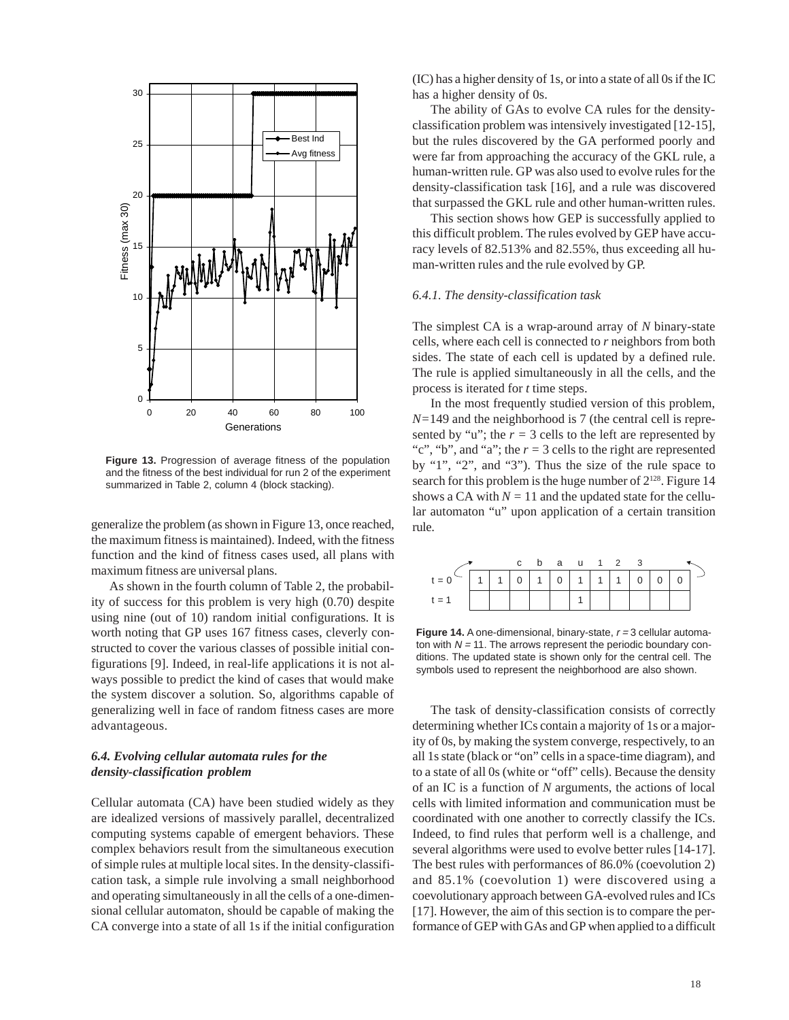

**Figure 13.** Progression of average fitness of the population and the fitness of the best individual for run 2 of the experiment summarized in Table 2, column 4 (block stacking).

generalize the problem (as shown in Figure 13, once reached, the maximum fitness is maintained). Indeed, with the fitness function and the kind of fitness cases used, all plans with maximum fitness are universal plans.

As shown in the fourth column of Table 2, the probability of success for this problem is very high (0.70) despite using nine (out of 10) random initial configurations. It is worth noting that GP uses 167 fitness cases, cleverly constructed to cover the various classes of possible initial configurations [9]. Indeed, in real-life applications it is not always possible to predict the kind of cases that would make the system discover a solution. So, algorithms capable of generalizing well in face of random fitness cases are more advantageous.

## *6.4. Evolving cellular automata rules for the density-classification problem*

Cellular automata (CA) have been studied widely as they are idealized versions of massively parallel, decentralized computing systems capable of emergent behaviors. These complex behaviors result from the simultaneous execution of simple rules at multiple local sites. In the density-classification task, a simple rule involving a small neighborhood and operating simultaneously in all the cells of a one-dimensional cellular automaton, should be capable of making the CA converge into a state of all 1s if the initial configuration

(IC) has a higher density of 1s, or into a state of all 0s if the IC has a higher density of 0s.

The ability of GAs to evolve CA rules for the densityclassification problem was intensively investigated [12-15], but the rules discovered by the GA performed poorly and were far from approaching the accuracy of the GKL rule, a human-written rule. GP was also used to evolve rules for the density-classification task [16], and a rule was discovered that surpassed the GKL rule and other human-written rules.

This section shows how GEP is successfully applied to this difficult problem. The rules evolved by GEP have accuracy levels of 82.513% and 82.55%, thus exceeding all human-written rules and the rule evolved by GP.

#### *6.4.1. The density-classification task*

The simplest CA is a wrap-around array of *N* binary-state cells, where each cell is connected to *r* neighbors from both sides. The state of each cell is updated by a defined rule. The rule is applied simultaneously in all the cells, and the process is iterated for *t* time steps.

In the most frequently studied version of this problem, *N=*149 and the neighborhood is 7 (the central cell is represented by "u"; the  $r = 3$  cells to the left are represented by "c", "b", and "a"; the  $r = 3$  cells to the right are represented by "1", "2", and "3"). Thus the size of the rule space to search for this problem is the huge number of  $2^{128}$ . Figure 14 shows a CA with  $N = 11$  and the updated state for the cellular automaton "u" upon application of a certain transition rule.

|         |  |  | c b a u 1 2 3         |  |                |  |  |
|---------|--|--|-----------------------|--|----------------|--|--|
| $t = 0$ |  |  | 0   1   0   1   1   1 |  | $\overline{0}$ |  |  |
| $t = 1$ |  |  |                       |  |                |  |  |

**Figure 14.** A one-dimensional, binary-state,  $r = 3$  cellular automaton with  $N = 11$ . The arrows represent the periodic boundary conditions. The updated state is shown only for the central cell. The symbols used to represent the neighborhood are also shown.

The task of density-classification consists of correctly determining whether ICs contain a majority of 1s or a majority of 0s, by making the system converge, respectively, to an all 1s state (black or "on" cells in a space-time diagram), and to a state of all 0s (white or "off" cells). Because the density of an IC is a function of *N* arguments, the actions of local cells with limited information and communication must be coordinated with one another to correctly classify the ICs. Indeed, to find rules that perform well is a challenge, and several algorithms were used to evolve better rules [14-17]. The best rules with performances of 86.0% (coevolution 2) and 85.1% (coevolution 1) were discovered using a coevolutionary approach between GA-evolved rules and ICs [17]. However, the aim of this section is to compare the performance of GEP with GAs and GP when applied to a difficult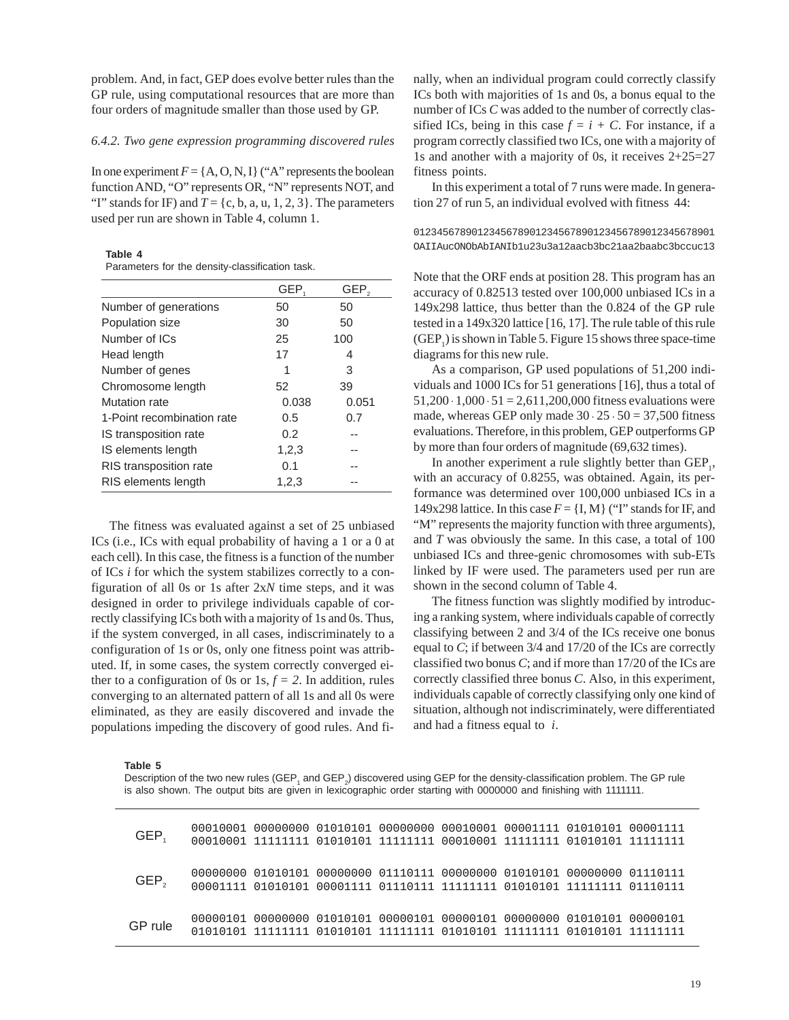problem. And, in fact, GEP does evolve better rules than the GP rule, using computational resources that are more than four orders of magnitude smaller than those used by GP.

## *6.4.2. Two gene expression programming discovered rules*

In one experiment  $F = \{A, O, N, I\}$  ("A" represents the boolean function AND, "O" represents OR, "N" represents NOT, and "I" stands for IF) and  $T = \{c, b, a, u, 1, 2, 3\}$ . The parameters used per run are shown in Table 4, column 1.

**Table 4**

Parameters for the density-classification task.

|                               | GEP.  | GEP.  |
|-------------------------------|-------|-------|
| Number of generations         | 50    | 50    |
| Population size               | 30    | 50    |
| Number of ICs                 | 25    | 100   |
| Head length                   | 17    | 4     |
| Number of genes               | 1     | 3     |
| Chromosome length             | 52    | 39    |
| Mutation rate                 | 0.038 | 0.051 |
| 1-Point recombination rate    | 0.5   | 0.7   |
| IS transposition rate         | 0.2   |       |
| IS elements length            | 1,2,3 |       |
| <b>RIS</b> transposition rate | 0.1   |       |
| RIS elements length           | 1,2,3 |       |

The fitness was evaluated against a set of 25 unbiased ICs (i.e., ICs with equal probability of having a 1 or a 0 at each cell). In this case, the fitness is a function of the number of ICs *i* for which the system stabilizes correctly to a configuration of all 0s or 1s after 2x*N* time steps, and it was designed in order to privilege individuals capable of correctly classifying ICs both with a majority of 1s and 0s. Thus, if the system converged, in all cases, indiscriminately to a configuration of 1s or 0s, only one fitness point was attributed. If, in some cases, the system correctly converged either to a configuration of 0s or  $1s, f = 2$ . In addition, rules converging to an alternated pattern of all 1s and all 0s were eliminated, as they are easily discovered and invade the populations impeding the discovery of good rules. And finally, when an individual program could correctly classify ICs both with majorities of 1s and 0s, a bonus equal to the number of ICs *C* was added to the number of correctly classified ICs, being in this case  $f = i + C$ . For instance, if a program correctly classified two ICs, one with a majority of 1s and another with a majority of 0s, it receives 2+25=27 fitness points.

In this experiment a total of 7 runs were made. In generation 27 of run 5, an individual evolved with fitness 44:

0123456789012345678901234567890123456789012345678901 OAIIAucONObAbIANIb1u23u3a12aacb3bc21aa2baabc3bccuc13

Note that the ORF ends at position 28. This program has an accuracy of 0.82513 tested over 100,000 unbiased ICs in a 149x298 lattice, thus better than the 0.824 of the GP rule tested in a 149x320 lattice [16, 17]. The rule table of this rule  $(GEP<sub>1</sub>)$  is shown in Table 5. Figure 15 shows three space-time diagrams for this new rule.

As a comparison, GP used populations of 51,200 individuals and 1000 ICs for 51 generations [16], thus a total of  $51,200 \cdot 1,000 \cdot 51 = 2,611,200,000$  fitness evaluations were made, whereas GEP only made  $30 \cdot 25 \cdot 50 = 37,500$  fitness evaluations. Therefore, in this problem, GEP outperforms GP by more than four orders of magnitude (69,632 times).

In another experiment a rule slightly better than  $\text{GEP}_{1}$ , with an accuracy of 0.8255, was obtained. Again, its performance was determined over 100,000 unbiased ICs in a 149x298 lattice. In this case  $F = \{I, M\}$  ("I" stands for IF, and "M" represents the majority function with three arguments), and *T* was obviously the same. In this case, a total of 100 unbiased ICs and three-genic chromosomes with sub-ETs linked by IF were used. The parameters used per run are shown in the second column of Table 4.

The fitness function was slightly modified by introducing a ranking system, where individuals capable of correctly classifying between 2 and 3/4 of the ICs receive one bonus equal to *C*; if between 3/4 and 17/20 of the ICs are correctly classified two bonus *C*; and if more than 17/20 of the ICs are correctly classified three bonus *C*. Also, in this experiment, individuals capable of correctly classifying only one kind of situation, although not indiscriminately, were differentiated and had a fitness equal to *i*.

**Table 5**

Description of the two new rules (GEP<sub>1</sub> and GEP<sub>2</sub>) discovered using GEP for the density-classification problem. The GP rule is also shown. The output bits are given in lexicographic order starting with 0000000 and finishing with 1111111.

| GEP.             | 00010001 00000000 01010101 00000000 00010001 00001111 01010101 00001111 |  |  |  |
|------------------|-------------------------------------------------------------------------|--|--|--|
| GEP <sub>2</sub> |                                                                         |  |  |  |
| GP rule          |                                                                         |  |  |  |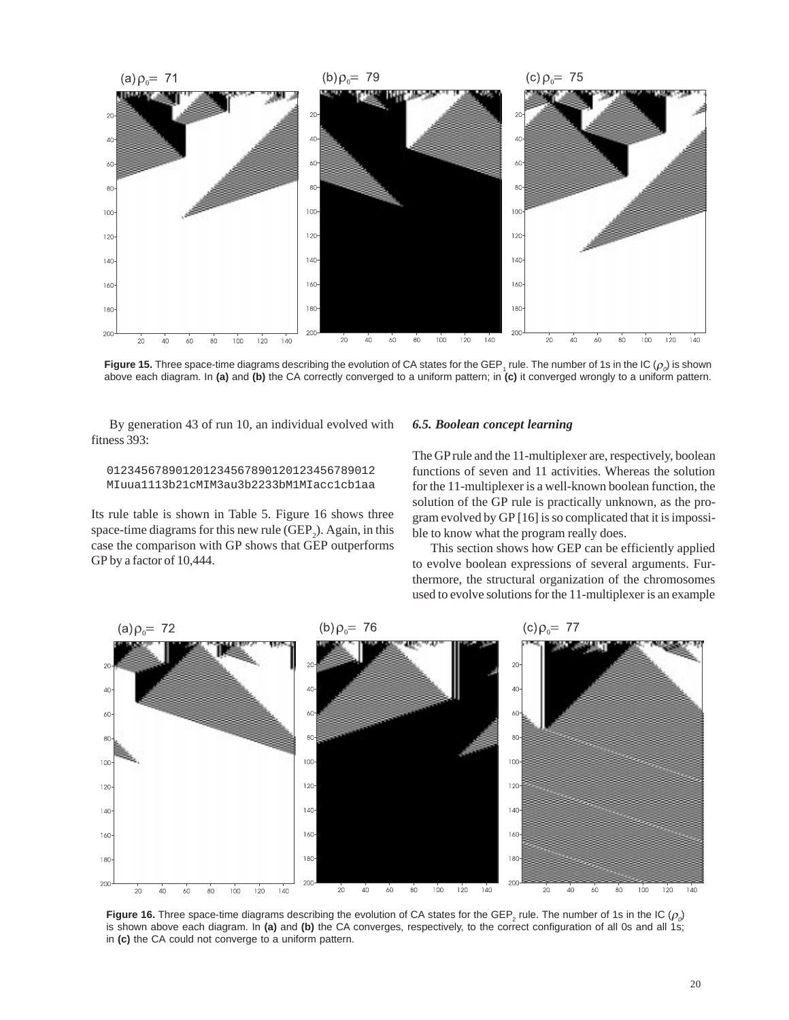

**Figure 15.** Three space-time diagrams describing the evolution of CA states for the GEP<sub>1</sub> rule. The number of 1s in the IC ( $\rho_o$ ) is shown above each diagram. In **(a)** and **(b)** the CA correctly converged to a uniform pattern; in **(c)** it converged wrongly to a uniform pattern.

By generation 43 of run 10, an individual evolved with fitness 393:

 012345678901201234567890120123456789012 MIuua1113b21cMIM3au3b2233bM1MIacc1cb1aa

Its rule table is shown in Table 5. Figure 16 shows three space-time diagrams for this new rule  $(GEP_2)$ . Again, in this case the comparison with GP shows that GEP outperforms GP by a factor of 10,444.

#### *6.5. Boolean concept learning*

The GP rule and the 11-multiplexer are, respectively, boolean functions of seven and 11 activities. Whereas the solution for the 11-multiplexer is a well-known boolean function, the solution of the GP rule is practically unknown, as the program evolved by GP [16] is so complicated that it is impossible to know what the program really does.

This section shows how GEP can be efficiently applied to evolve boolean expressions of several arguments. Furthermore, the structural organization of the chromosomes used to evolve solutions for the 11-multiplexer is an example



**Figure 16.** Three space-time diagrams describing the evolution of CA states for the GEP<sub>2</sub> rule. The number of 1s in the IC ( $\rho_o$ ) is shown above each diagram. In **(a)** and **(b)** the CA converges, respectively, to the correct configuration of all 0s and all 1s; in **(c)** the CA could not converge to a uniform pattern.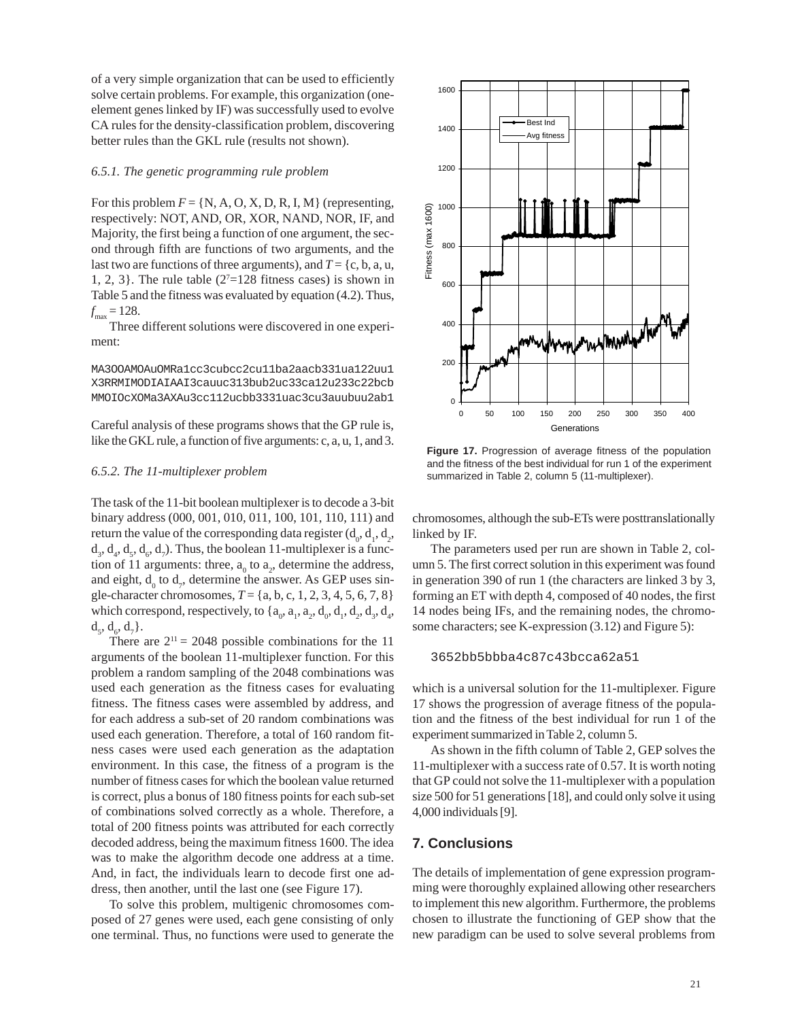of a very simple organization that can be used to efficiently solve certain problems. For example, this organization (oneelement genes linked by IF) was successfully used to evolve CA rules for the density-classification problem, discovering better rules than the GKL rule (results not shown).

#### *6.5.1. The genetic programming rule problem*

For this problem  $F = \{N, A, O, X, D, R, I, M\}$  (representing, respectively: NOT, AND, OR, XOR, NAND, NOR, IF, and Majority, the first being a function of one argument, the second through fifth are functions of two arguments, and the last two are functions of three arguments), and  $T = \{c, b, a, u, c\}$ 1, 2, 3}. The rule table  $(2<sup>7</sup>=128$  fitness cases) is shown in Table 5 and the fitness was evaluated by equation (4.2). Thus,  $f_{\text{max}} = 128.$ 

Three different solutions were discovered in one experiment:

MA3OOAMOAuOMRa1cc3cubcc2cu11ba2aacb331ua122uu1 X3RRMIMODIAIAAI3cauuc313bub2uc33ca12u233c22bcb MMOIOcXOMa3AXAu3cc112ucbb3331uac3cu3auubuu2ab1

Careful analysis of these programs shows that the GP rule is, like the GKL rule, a function of five arguments: c, a, u, 1, and 3.

#### *6.5.2. The 11-multiplexer problem*

The task of the 11-bit boolean multiplexer is to decode a 3-bit binary address (000, 001, 010, 011, 100, 101, 110, 111) and return the value of the corresponding data register  $(d_0, d_1, d_2,$  $d_3, d_4, d_5, d_6, d_7$ ). Thus, the boolean 11-multiplexer is a function of 11 arguments: three,  $a_0$  to  $a_2$ , determine the address, and eight,  $d_0$  to  $d_7$ , determine the answer. As GEP uses single-character chromosomes, *T* = {a, b, c, 1, 2, 3, 4, 5, 6, 7, 8} which correspond, respectively, to  $\{a_0, a_1, a_2, d_0, d_1, d_2, d_3, d_4,$  $d_5, d_6, d_7$  }.

There are  $2^{11} = 2048$  possible combinations for the 11 arguments of the boolean 11-multiplexer function. For this problem a random sampling of the 2048 combinations was used each generation as the fitness cases for evaluating fitness. The fitness cases were assembled by address, and for each address a sub-set of 20 random combinations was used each generation. Therefore, a total of 160 random fitness cases were used each generation as the adaptation environment. In this case, the fitness of a program is the number of fitness cases for which the boolean value returned is correct, plus a bonus of 180 fitness points for each sub-set of combinations solved correctly as a whole. Therefore, a total of 200 fitness points was attributed for each correctly decoded address, being the maximum fitness 1600. The idea was to make the algorithm decode one address at a time. And, in fact, the individuals learn to decode first one address, then another, until the last one (see Figure 17).

To solve this problem, multigenic chromosomes composed of 27 genes were used, each gene consisting of only one terminal. Thus, no functions were used to generate the



**Figure 17.** Progression of average fitness of the population and the fitness of the best individual for run 1 of the experiment summarized in Table 2, column 5 (11-multiplexer).

chromosomes, although the sub-ETs were posttranslationally linked by IF.

The parameters used per run are shown in Table 2, column 5. The first correct solution in this experiment was found in generation 390 of run 1 (the characters are linked 3 by 3, forming an ET with depth 4, composed of 40 nodes, the first 14 nodes being IFs, and the remaining nodes, the chromosome characters; see K-expression (3.12) and Figure 5):

3652bb5bbba4c87c43bcca62a51

which is a universal solution for the 11-multiplexer. Figure 17 shows the progression of average fitness of the population and the fitness of the best individual for run 1 of the experiment summarized in Table 2, column 5.

As shown in the fifth column of Table 2, GEP solves the 11-multiplexer with a success rate of 0.57. It is worth noting that GP could not solve the 11-multiplexer with a population size 500 for 51 generations [18], and could only solve it using 4,000 individuals [9].

# **7. Conclusions**

The details of implementation of gene expression programming were thoroughly explained allowing other researchers to implement this new algorithm. Furthermore, the problems chosen to illustrate the functioning of GEP show that the new paradigm can be used to solve several problems from